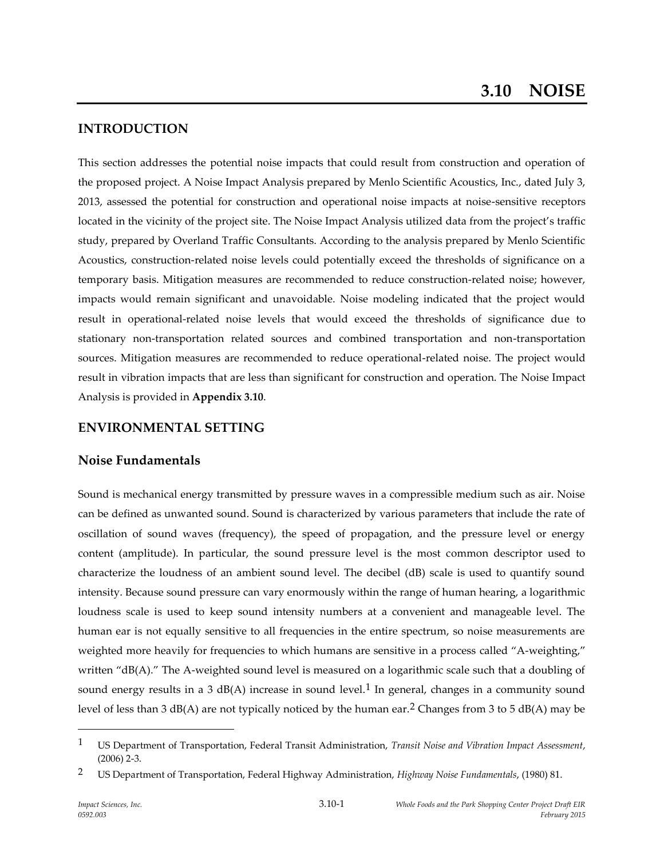# **INTRODUCTION**

This section addresses the potential noise impacts that could result from construction and operation of the proposed project. A Noise Impact Analysis prepared by Menlo Scientific Acoustics, Inc., dated July 3, 2013, assessed the potential for construction and operational noise impacts at noise-sensitive receptors located in the vicinity of the project site. The Noise Impact Analysis utilized data from the project's traffic study, prepared by Overland Traffic Consultants. According to the analysis prepared by Menlo Scientific Acoustics, construction-related noise levels could potentially exceed the thresholds of significance on a temporary basis. Mitigation measures are recommended to reduce construction-related noise; however, impacts would remain significant and unavoidable. Noise modeling indicated that the project would result in operational-related noise levels that would exceed the thresholds of significance due to stationary non-transportation related sources and combined transportation and non-transportation sources. Mitigation measures are recommended to reduce operational-related noise. The project would result in vibration impacts that are less than significant for construction and operation. The Noise Impact Analysis is provided in **Appendix 3.10**.

# **ENVIRONMENTAL SETTING**

# **Noise Fundamentals**

Sound is mechanical energy transmitted by pressure waves in a compressible medium such as air. Noise can be defined as unwanted sound. Sound is characterized by various parameters that include the rate of oscillation of sound waves (frequency), the speed of propagation, and the pressure level or energy content (amplitude). In particular, the sound pressure level is the most common descriptor used to characterize the loudness of an ambient sound level. The decibel (dB) scale is used to quantify sound intensity. Because sound pressure can vary enormously within the range of human hearing, a logarithmic loudness scale is used to keep sound intensity numbers at a convenient and manageable level. The human ear is not equally sensitive to all frequencies in the entire spectrum, so noise measurements are weighted more heavily for frequencies to which humans are sensitive in a process called "A-weighting," written "dB(A)." The A-weighted sound level is measured on a logarithmic scale such that a doubling of sound energy results in a 3 dB(A) increase in sound level.<sup>1</sup> In general, changes in a community sound level of less than 3 dB(A) are not typically noticed by the human ear.<sup>2</sup> Changes from 3 to 5 dB(A) may be

1

<sup>1</sup> US Department of Transportation, Federal Transit Administration, *Transit Noise and Vibration Impact Assessment*, (2006) 2-3.

<sup>2</sup> US Department of Transportation, Federal Highway Administration, *Highway Noise Fundamentals*, (1980) 81.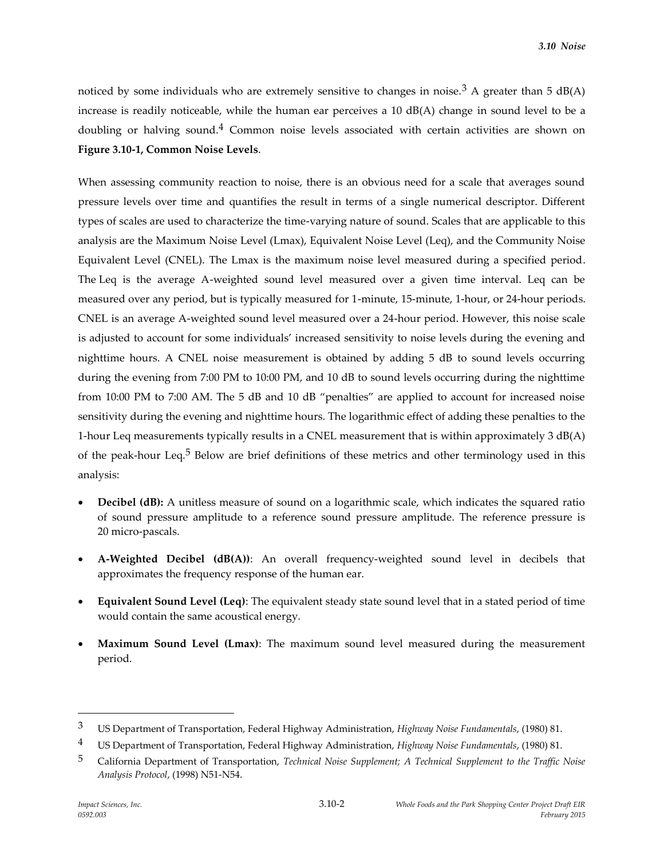noticed by some individuals who are extremely sensitive to changes in noise.<sup>3</sup> A greater than 5 dB(A) increase is readily noticeable, while the human ear perceives a 10 dB(A) change in sound level to be a doubling or halving sound. $4$  Common noise levels associated with certain activities are shown on **Figure 3.10-1, Common Noise Levels**.

When assessing community reaction to noise, there is an obvious need for a scale that averages sound pressure levels over time and quantifies the result in terms of a single numerical descriptor. Different types of scales are used to characterize the time-varying nature of sound. Scales that are applicable to this analysis are the Maximum Noise Level (Lmax), Equivalent Noise Level (Leq), and the Community Noise Equivalent Level (CNEL). The Lmax is the maximum noise level measured during a specified period. The Leq is the average A-weighted sound level measured over a given time interval. Leq can be measured over any period, but is typically measured for 1-minute, 15-minute, 1-hour, or 24-hour periods. CNEL is an average A-weighted sound level measured over a 24-hour period. However, this noise scale is adjusted to account for some individuals' increased sensitivity to noise levels during the evening and nighttime hours. A CNEL noise measurement is obtained by adding 5 dB to sound levels occurring during the evening from 7:00 PM to 10:00 PM, and 10 dB to sound levels occurring during the nighttime from 10:00 PM to 7:00 AM. The 5 dB and 10 dB "penalties" are applied to account for increased noise sensitivity during the evening and nighttime hours. The logarithmic effect of adding these penalties to the 1-hour Leq measurements typically results in a CNEL measurement that is within approximately 3 dB(A) of the peak-hour Leq.5 Below are brief definitions of these metrics and other terminology used in this analysis:

- **Decibel (dB):** A unitless measure of sound on a logarithmic scale, which indicates the squared ratio of sound pressure amplitude to a reference sound pressure amplitude. The reference pressure is 20 micro-pascals.
- **A-Weighted Decibel (dB(A))**: An overall frequency-weighted sound level in decibels that approximates the frequency response of the human ear.
- **Equivalent Sound Level (Leq)**: The equivalent steady state sound level that in a stated period of time would contain the same acoustical energy.
- **Maximum Sound Level (Lmax)**: The maximum sound level measured during the measurement period.

<sup>3</sup> US Department of Transportation, Federal Highway Administration, *Highway Noise Fundamentals*, (1980) 81.

<sup>4</sup> US Department of Transportation, Federal Highway Administration, *Highway Noise Fundamentals*, (1980) 81.

<sup>5</sup> California Department of Transportation, *Technical Noise Supplement; A Technical Supplement to the Traffic Noise Analysis Protocol*, (1998) N51-N54.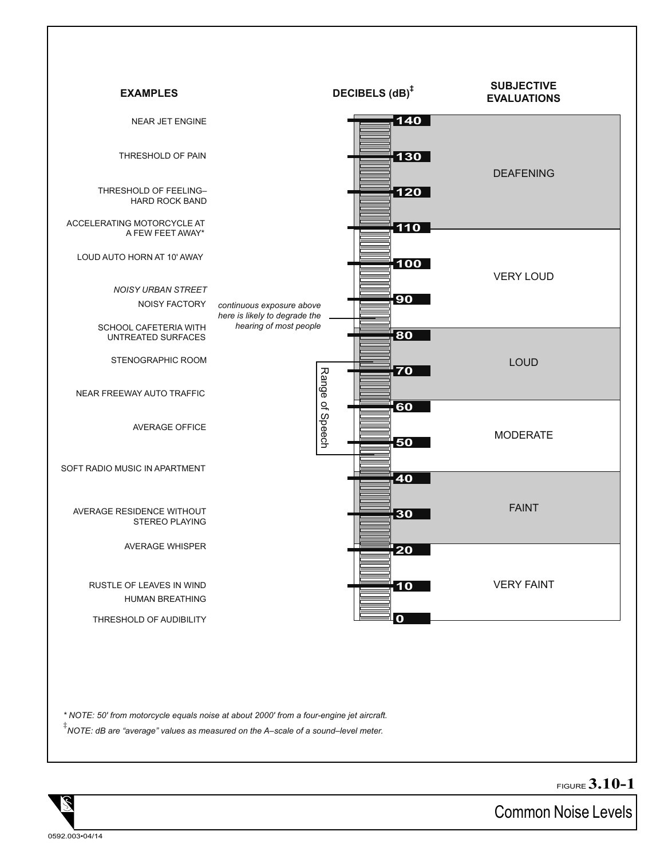

*\* NOTE: 50' from motorcycle equals noise at about 2000' from a four-engine jet aircraft.*

**‡** *NOTE: dB are "average" values as measured on the A–scale of a sound–level meter.*

FIGURE **3.10-1**

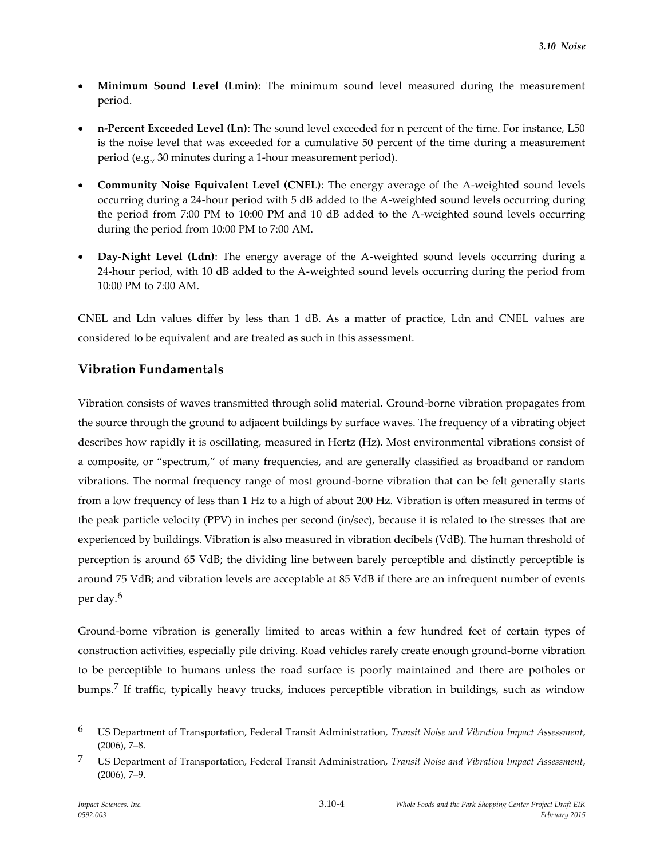- **Minimum Sound Level (Lmin)**: The minimum sound level measured during the measurement period.
- **n-Percent Exceeded Level (Ln)**: The sound level exceeded for n percent of the time. For instance, L50 is the noise level that was exceeded for a cumulative 50 percent of the time during a measurement period (e.g., 30 minutes during a 1-hour measurement period).
- **Community Noise Equivalent Level (CNEL)**: The energy average of the A-weighted sound levels occurring during a 24-hour period with 5 dB added to the A-weighted sound levels occurring during the period from 7:00 PM to 10:00 PM and 10 dB added to the A-weighted sound levels occurring during the period from 10:00 PM to 7:00 AM.
- **Day-Night Level (Ldn)**: The energy average of the A-weighted sound levels occurring during a 24-hour period, with 10 dB added to the A-weighted sound levels occurring during the period from 10:00 PM to 7:00 AM.

CNEL and Ldn values differ by less than 1 dB. As a matter of practice, Ldn and CNEL values are considered to be equivalent and are treated as such in this assessment.

# **Vibration Fundamentals**

Vibration consists of waves transmitted through solid material. Ground-borne vibration propagates from the source through the ground to adjacent buildings by surface waves. The frequency of a vibrating object describes how rapidly it is oscillating, measured in Hertz (Hz). Most environmental vibrations consist of a composite, or "spectrum," of many frequencies, and are generally classified as broadband or random vibrations. The normal frequency range of most ground-borne vibration that can be felt generally starts from a low frequency of less than 1 Hz to a high of about 200 Hz. Vibration is often measured in terms of the peak particle velocity (PPV) in inches per second (in/sec), because it is related to the stresses that are experienced by buildings. Vibration is also measured in vibration decibels (VdB). The human threshold of perception is around 65 VdB; the dividing line between barely perceptible and distinctly perceptible is around 75 VdB; and vibration levels are acceptable at 85 VdB if there are an infrequent number of events per day.6

Ground-borne vibration is generally limited to areas within a few hundred feet of certain types of construction activities, especially pile driving. Road vehicles rarely create enough ground-borne vibration to be perceptible to humans unless the road surface is poorly maintained and there are potholes or bumps.7 If traffic, typically heavy trucks, induces perceptible vibration in buildings, such as window

<sup>6</sup> US Department of Transportation, Federal Transit Administration, *Transit Noise and Vibration Impact Assessment*, (2006), 7–8.

<sup>7</sup> US Department of Transportation, Federal Transit Administration, *Transit Noise and Vibration Impact Assessment*, (2006), 7–9.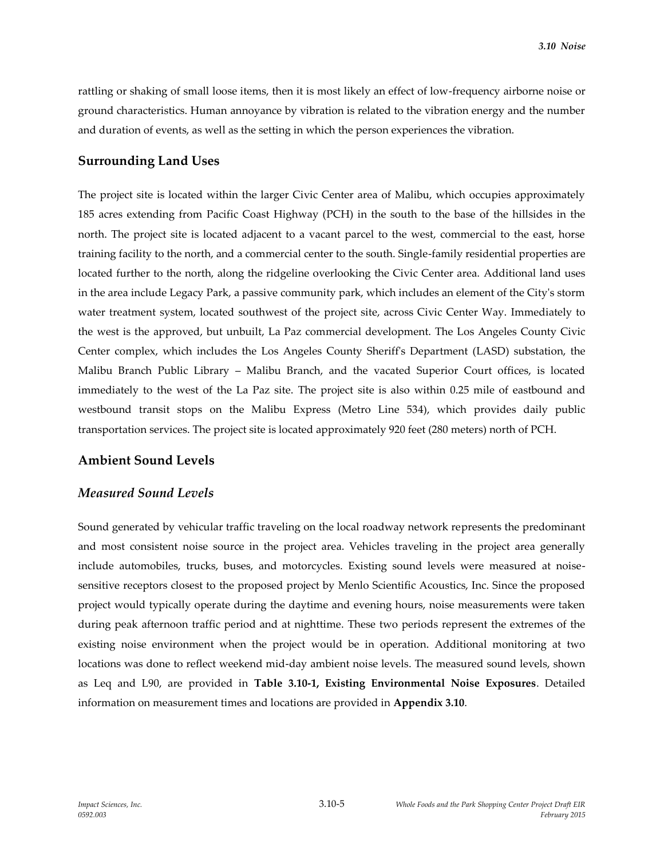rattling or shaking of small loose items, then it is most likely an effect of low-frequency airborne noise or ground characteristics. Human annoyance by vibration is related to the vibration energy and the number and duration of events, as well as the setting in which the person experiences the vibration.

### **Surrounding Land Uses**

The project site is located within the larger Civic Center area of Malibu, which occupies approximately 185 acres extending from Pacific Coast Highway (PCH) in the south to the base of the hillsides in the north. The project site is located adjacent to a vacant parcel to the west, commercial to the east, horse training facility to the north, and a commercial center to the south. Single-family residential properties are located further to the north, along the ridgeline overlooking the Civic Center area. Additional land uses in the area include Legacy Park, a passive community park, which includes an element of the City's storm water treatment system, located southwest of the project site, across Civic Center Way. Immediately to the west is the approved, but unbuilt, La Paz commercial development. The Los Angeles County Civic Center complex, which includes the Los Angeles County Sheriff's Department (LASD) substation, the Malibu Branch Public Library – Malibu Branch, and the vacated Superior Court offices, is located immediately to the west of the La Paz site. The project site is also within 0.25 mile of eastbound and westbound transit stops on the Malibu Express (Metro Line 534), which provides daily public transportation services. The project site is located approximately 920 feet (280 meters) north of PCH.

# **Ambient Sound Levels**

#### *Measured Sound Levels*

Sound generated by vehicular traffic traveling on the local roadway network represents the predominant and most consistent noise source in the project area. Vehicles traveling in the project area generally include automobiles, trucks, buses, and motorcycles. Existing sound levels were measured at noisesensitive receptors closest to the proposed project by Menlo Scientific Acoustics, Inc. Since the proposed project would typically operate during the daytime and evening hours, noise measurements were taken during peak afternoon traffic period and at nighttime. These two periods represent the extremes of the existing noise environment when the project would be in operation. Additional monitoring at two locations was done to reflect weekend mid-day ambient noise levels. The measured sound levels, shown as Leq and L90, are provided in **Table 3.10-1, Existing Environmental Noise Exposures**. Detailed information on measurement times and locations are provided in **Appendix 3.10**.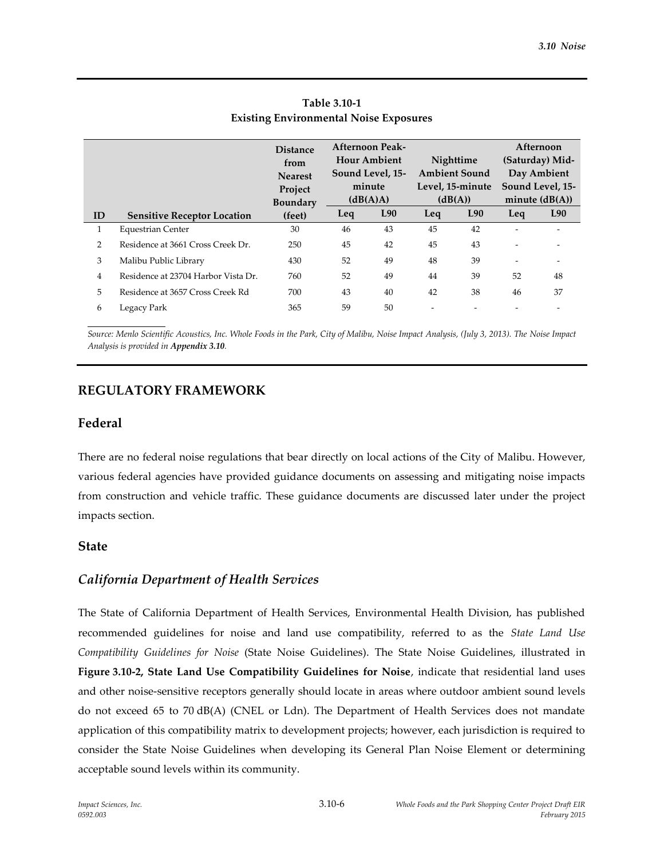|                |                                     | <b>Distance</b><br>from<br><b>Nearest</b><br>Project<br><b>Boundary</b> | <b>Afternoon Peak-</b><br><b>Hour Ambient</b><br>Sound Level, 15-<br>minute<br>(dB(A)A) |     | Nighttime<br><b>Ambient Sound</b><br>Level, 15-minute<br>(dB(A)) |     |                          | Afternoon<br>(Saturday) Mid-<br>Day Ambient<br>Sound Level, 15-<br>minute $(dB(A))$ |  |
|----------------|-------------------------------------|-------------------------------------------------------------------------|-----------------------------------------------------------------------------------------|-----|------------------------------------------------------------------|-----|--------------------------|-------------------------------------------------------------------------------------|--|
| ID             | <b>Sensitive Receptor Location</b>  | (feet)                                                                  | Leq                                                                                     | L90 | Leq                                                              | L90 | Leq                      | L90                                                                                 |  |
| 1              | Equestrian Center                   | 30                                                                      | 46                                                                                      | 43  | 45                                                               | 42  |                          |                                                                                     |  |
| $\overline{2}$ | Residence at 3661 Cross Creek Dr.   | 250                                                                     | 45                                                                                      | 42  | 45                                                               | 43  | ۰                        | ٠                                                                                   |  |
| 3              | Malibu Public Library               | 430                                                                     | 52                                                                                      | 49  | 48                                                               | 39  | $\overline{\phantom{0}}$ | $\overline{a}$                                                                      |  |
| 4              | Residence at 23704 Harbor Vista Dr. | 760                                                                     | 52                                                                                      | 49  | 44                                                               | 39  | 52                       | 48                                                                                  |  |
| 5              | Residence at 3657 Cross Creek Rd    | 700                                                                     | 43                                                                                      | 40  | 42                                                               | 38  | 46                       | 37                                                                                  |  |
| 6              | Legacy Park                         | 365                                                                     | 59                                                                                      | 50  | $\overline{\phantom{a}}$                                         |     |                          |                                                                                     |  |

# **Table 3.10-1 Existing Environmental Noise Exposures**

*Source: Menlo Scientific Acoustics, Inc. Whole Foods in the Park, City of Malibu, Noise Impact Analysis, (July 3, 2013). The Noise Impact Analysis is provided in Appendix 3.10.*

# **REGULATORY FRAMEWORK**

# **Federal**

There are no federal noise regulations that bear directly on local actions of the City of Malibu. However, various federal agencies have provided guidance documents on assessing and mitigating noise impacts from construction and vehicle traffic. These guidance documents are discussed later under the project impacts section.

# **State**

# *California Department of Health Services*

The State of California Department of Health Services, Environmental Health Division, has published recommended guidelines for noise and land use compatibility, referred to as the *State Land Use Compatibility Guidelines for Noise* (State Noise Guidelines). The State Noise Guidelines, illustrated in **Figure 3.10-2, State Land Use Compatibility Guidelines for Noise**, indicate that residential land uses and other noise-sensitive receptors generally should locate in areas where outdoor ambient sound levels do not exceed 65 to 70 dB(A) (CNEL or Ldn). The Department of Health Services does not mandate application of this compatibility matrix to development projects; however, each jurisdiction is required to consider the State Noise Guidelines when developing its General Plan Noise Element or determining acceptable sound levels within its community.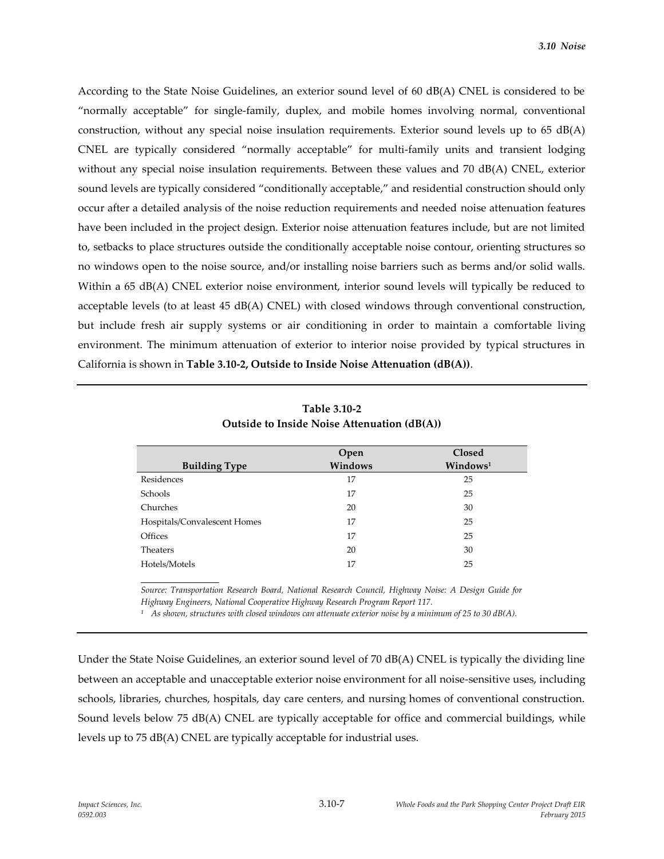According to the State Noise Guidelines, an exterior sound level of 60 dB(A) CNEL is considered to be "normally acceptable" for single-family, duplex, and mobile homes involving normal, conventional construction, without any special noise insulation requirements. Exterior sound levels up to  $65 \text{ dB}(A)$ CNEL are typically considered "normally acceptable" for multi-family units and transient lodging without any special noise insulation requirements. Between these values and 70 dB(A) CNEL, exterior sound levels are typically considered "conditionally acceptable," and residential construction should only occur after a detailed analysis of the noise reduction requirements and needed noise attenuation features have been included in the project design. Exterior noise attenuation features include, but are not limited to, setbacks to place structures outside the conditionally acceptable noise contour, orienting structures so no windows open to the noise source, and/or installing noise barriers such as berms and/or solid walls. Within a 65 dB(A) CNEL exterior noise environment, interior sound levels will typically be reduced to acceptable levels (to at least 45 dB(A) CNEL) with closed windows through conventional construction, but include fresh air supply systems or air conditioning in order to maintain a comfortable living environment. The minimum attenuation of exterior to interior noise provided by typical structures in California is shown in **Table 3.10-2, Outside to Inside Noise Attenuation (dB(A))**.

|                              | Open    | Closed               |
|------------------------------|---------|----------------------|
| <b>Building Type</b>         | Windows | Windows <sup>1</sup> |
| Residences                   | 17      | 25                   |
| Schools                      | 17      | 25                   |
| Churches                     | 20      | 30                   |
| Hospitals/Convalescent Homes | 17      | 25                   |
| Offices                      | 17      | 25                   |
| <b>Theaters</b>              | 20      | 30                   |
| Hotels/Motels                | 17      | 25                   |

**Table 3.10-2 Outside to Inside Noise Attenuation (dB(A))**

*Source: Transportation Research Board, National Research Council, Highway Noise: A Design Guide for Highway Engineers, National Cooperative Highway Research Program Report 117.*

*<sup>1</sup> As shown, structures with closed windows can attenuate exterior noise by a minimum of 25 to 30 dB(A).*

Under the State Noise Guidelines, an exterior sound level of 70 dB(A) CNEL is typically the dividing line between an acceptable and unacceptable exterior noise environment for all noise-sensitive uses, including schools, libraries, churches, hospitals, day care centers, and nursing homes of conventional construction. Sound levels below 75 dB(A) CNEL are typically acceptable for office and commercial buildings, while levels up to 75 dB(A) CNEL are typically acceptable for industrial uses.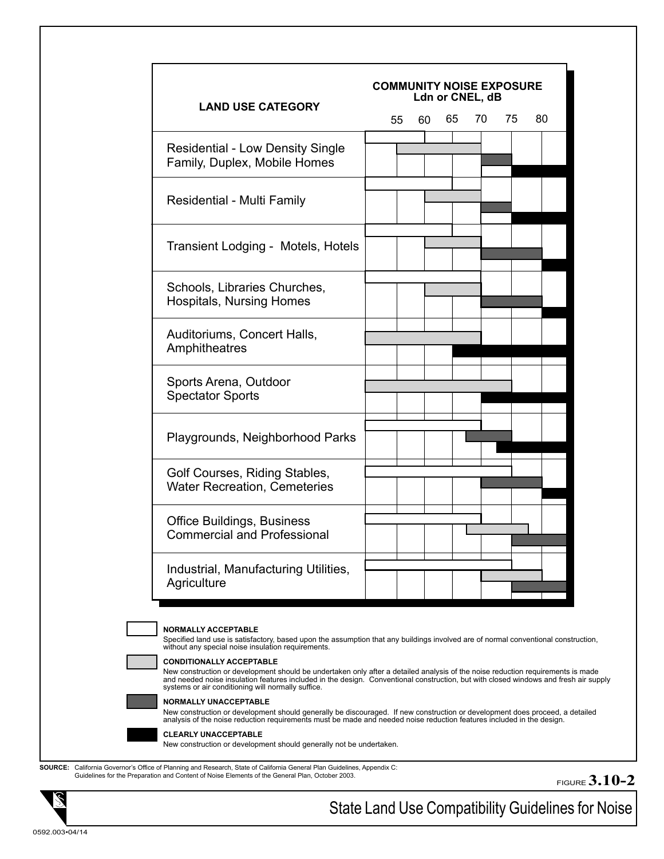| <b>LAND USE CATEGORY</b>                                                                                                                                                                 |  |    |    |    | Ldn or CNEL, dB |       |    |
|------------------------------------------------------------------------------------------------------------------------------------------------------------------------------------------|--|----|----|----|-----------------|-------|----|
|                                                                                                                                                                                          |  | 55 | 60 | 65 |                 | 70 75 | 80 |
| <b>Residential - Low Density Single</b>                                                                                                                                                  |  |    |    |    |                 |       |    |
| Family, Duplex, Mobile Homes                                                                                                                                                             |  |    |    |    |                 |       |    |
|                                                                                                                                                                                          |  |    |    |    |                 |       |    |
| Residential - Multi Family                                                                                                                                                               |  |    |    |    |                 |       |    |
|                                                                                                                                                                                          |  |    |    |    |                 |       |    |
|                                                                                                                                                                                          |  |    |    |    |                 |       |    |
| Transient Lodging - Motels, Hotels                                                                                                                                                       |  |    |    |    |                 |       |    |
|                                                                                                                                                                                          |  |    |    |    |                 |       |    |
| Schools, Libraries Churches,                                                                                                                                                             |  |    |    |    |                 |       |    |
| <b>Hospitals, Nursing Homes</b>                                                                                                                                                          |  |    |    |    |                 |       |    |
|                                                                                                                                                                                          |  |    |    |    |                 |       |    |
| Auditoriums, Concert Halls,<br>Amphitheatres                                                                                                                                             |  |    |    |    |                 |       |    |
|                                                                                                                                                                                          |  |    |    |    |                 |       |    |
| Sports Arena, Outdoor<br><b>Spectator Sports</b>                                                                                                                                         |  |    |    |    |                 |       |    |
|                                                                                                                                                                                          |  |    |    |    |                 |       |    |
|                                                                                                                                                                                          |  |    |    |    |                 |       |    |
|                                                                                                                                                                                          |  |    |    |    |                 |       |    |
| Playgrounds, Neighborhood Parks                                                                                                                                                          |  |    |    |    |                 |       |    |
|                                                                                                                                                                                          |  |    |    |    |                 |       |    |
| Golf Courses, Riding Stables,<br><b>Water Recreation, Cemeteries</b>                                                                                                                     |  |    |    |    |                 |       |    |
|                                                                                                                                                                                          |  |    |    |    |                 |       |    |
| <b>Office Buildings, Business</b>                                                                                                                                                        |  |    |    |    |                 |       |    |
| <b>Commercial and Professional</b>                                                                                                                                                       |  |    |    |    |                 |       |    |
|                                                                                                                                                                                          |  |    |    |    |                 |       |    |
| Industrial, Manufacturing Utilities,                                                                                                                                                     |  |    |    |    |                 |       |    |
| Agriculture                                                                                                                                                                              |  |    |    |    |                 |       |    |
|                                                                                                                                                                                          |  |    |    |    |                 |       |    |
| <b>NORMALLY ACCEPTABLE</b>                                                                                                                                                               |  |    |    |    |                 |       |    |
| Specified land use is satisfactory, based upon the assumption that any buildings involved are of normal conventional construction,<br>without any special noise insulation requirements. |  |    |    |    |                 |       |    |
| <b>CONDITIONALLY ACCEPTABLE</b>                                                                                                                                                          |  |    |    |    |                 |       |    |

**NORMALLY UNACCEPTABLE** 

New construction or development should generally be discouraged. If new construction or development does proceed, a detailed<br>analysis of the noise reduction requirements must be made and needed noise reduction features in



**CLEARLY UNACCEPTABLE** 

New construction or development should generally not be undertaken.

**SOURCE:** California Governor's Office of Planning and Research, State of California General Plan Guidelines, Appendix C: Guidelines for the Preparation and Content of Noise Elements of the General Plan, October 2003.

FIGURE **3.10-2**



State Land Use Compatibility Guidelines for Noise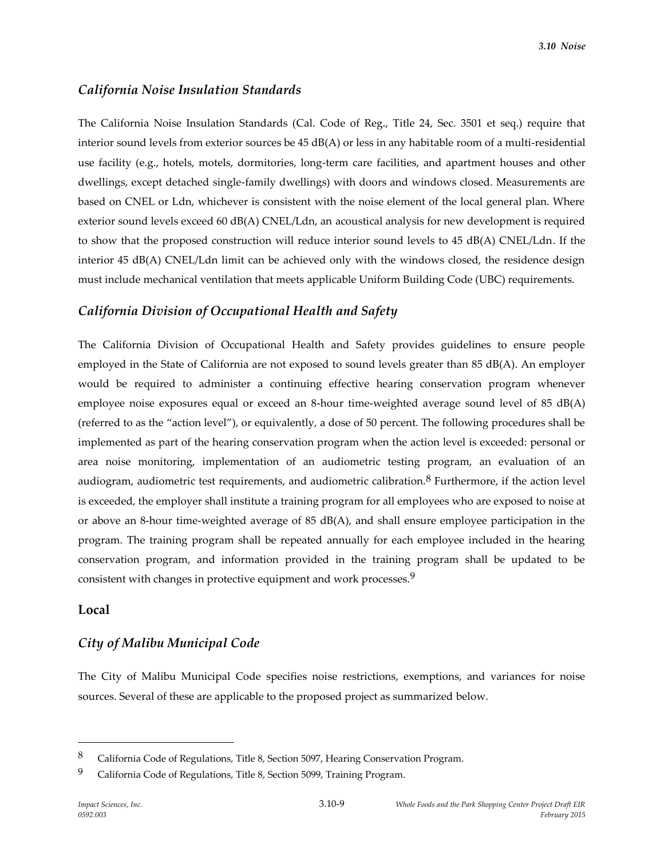# *California Noise Insulation Standards*

The California Noise Insulation Standards (Cal. Code of Reg., Title 24, Sec. 3501 et seq.) require that interior sound levels from exterior sources be 45 dB(A) or less in any habitable room of a multi-residential use facility (e.g., hotels, motels, dormitories, long-term care facilities, and apartment houses and other dwellings, except detached single-family dwellings) with doors and windows closed. Measurements are based on CNEL or Ldn, whichever is consistent with the noise element of the local general plan. Where exterior sound levels exceed 60 dB(A) CNEL/Ldn, an acoustical analysis for new development is required to show that the proposed construction will reduce interior sound levels to 45 dB(A) CNEL/Ldn. If the interior 45 dB(A) CNEL/Ldn limit can be achieved only with the windows closed, the residence design must include mechanical ventilation that meets applicable Uniform Building Code (UBC) requirements.

### *California Division of Occupational Health and Safety*

The California Division of Occupational Health and Safety provides guidelines to ensure people employed in the State of California are not exposed to sound levels greater than 85 dB(A). An employer would be required to administer a continuing effective hearing conservation program whenever employee noise exposures equal or exceed an 8-hour time-weighted average sound level of 85 dB(A) (referred to as the "action level"), or equivalently, a dose of 50 percent. The following procedures shall be implemented as part of the hearing conservation program when the action level is exceeded: personal or area noise monitoring, implementation of an audiometric testing program, an evaluation of an audiogram, audiometric test requirements, and audiometric calibration.<sup>8</sup> Furthermore, if the action level is exceeded, the employer shall institute a training program for all employees who are exposed to noise at or above an 8-hour time-weighted average of 85 dB(A), and shall ensure employee participation in the program. The training program shall be repeated annually for each employee included in the hearing conservation program, and information provided in the training program shall be updated to be consistent with changes in protective equipment and work processes.9

### **Local**

 $\overline{a}$ 

#### *City of Malibu Municipal Code*

The City of Malibu Municipal Code specifies noise restrictions, exemptions, and variances for noise sources. Several of these are applicable to the proposed project as summarized below.

<sup>8</sup> California Code of Regulations, Title 8, Section 5097, Hearing Conservation Program.

<sup>9</sup> California Code of Regulations, Title 8, Section 5099, Training Program.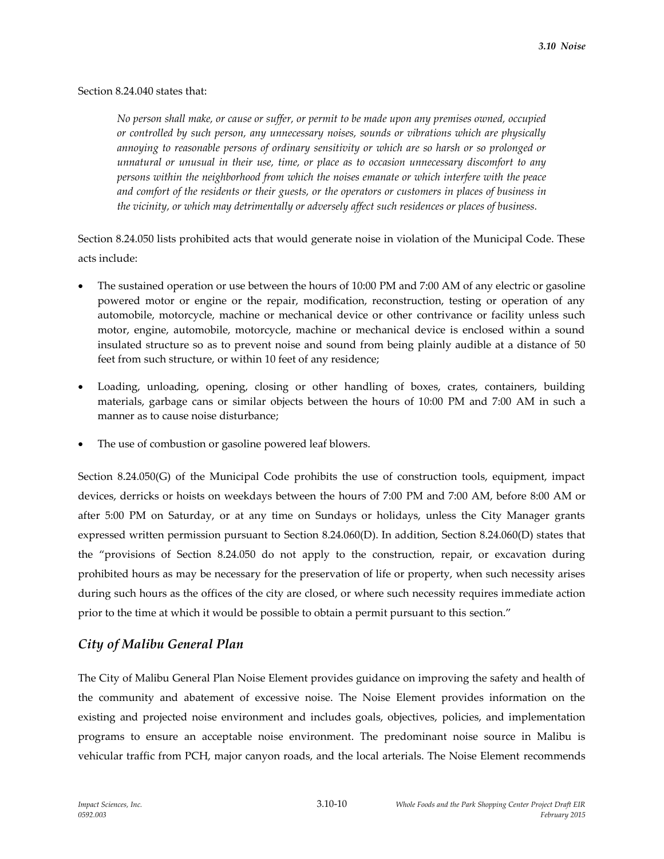#### Section 8.24.040 states that:

*No person shall make, or cause or suffer, or permit to be made upon any premises owned, occupied or controlled by such person, any unnecessary noises, sounds or vibrations which are physically annoying to reasonable persons of ordinary sensitivity or which are so harsh or so prolonged or unnatural or unusual in their use, time, or place as to occasion unnecessary discomfort to any persons within the neighborhood from which the noises emanate or which interfere with the peace and comfort of the residents or their guests, or the operators or customers in places of business in the vicinity, or which may detrimentally or adversely affect such residences or places of business.*

Section 8.24.050 lists prohibited acts that would generate noise in violation of the Municipal Code. These acts include:

- The sustained operation or use between the hours of 10:00 PM and 7:00 AM of any electric or gasoline powered motor or engine or the repair, modification, reconstruction, testing or operation of any automobile, motorcycle, machine or mechanical device or other contrivance or facility unless such motor, engine, automobile, motorcycle, machine or mechanical device is enclosed within a sound insulated structure so as to prevent noise and sound from being plainly audible at a distance of 50 feet from such structure, or within 10 feet of any residence;
- Loading, unloading, opening, closing or other handling of boxes, crates, containers, building materials, garbage cans or similar objects between the hours of 10:00 PM and 7:00 AM in such a manner as to cause noise disturbance;
- The use of combustion or gasoline powered leaf blowers.

Section 8.24.050(G) of the Municipal Code prohibits the use of construction tools, equipment, impact devices, derricks or hoists on weekdays between the hours of 7:00 PM and 7:00 AM, before 8:00 AM or after 5:00 PM on Saturday, or at any time on Sundays or holidays, unless the City Manager grants expressed written permission pursuant to Section 8.24.060(D). In addition, Section 8.24.060(D) states that the "provisions of Section 8.24.050 do not apply to the construction, repair, or excavation during prohibited hours as may be necessary for the preservation of life or property, when such necessity arises during such hours as the offices of the city are closed, or where such necessity requires immediate action prior to the time at which it would be possible to obtain a permit pursuant to this section."

# *City of Malibu General Plan*

The City of Malibu General Plan Noise Element provides guidance on improving the safety and health of the community and abatement of excessive noise. The Noise Element provides information on the existing and projected noise environment and includes goals, objectives, policies, and implementation programs to ensure an acceptable noise environment. The predominant noise source in Malibu is vehicular traffic from PCH, major canyon roads, and the local arterials. The Noise Element recommends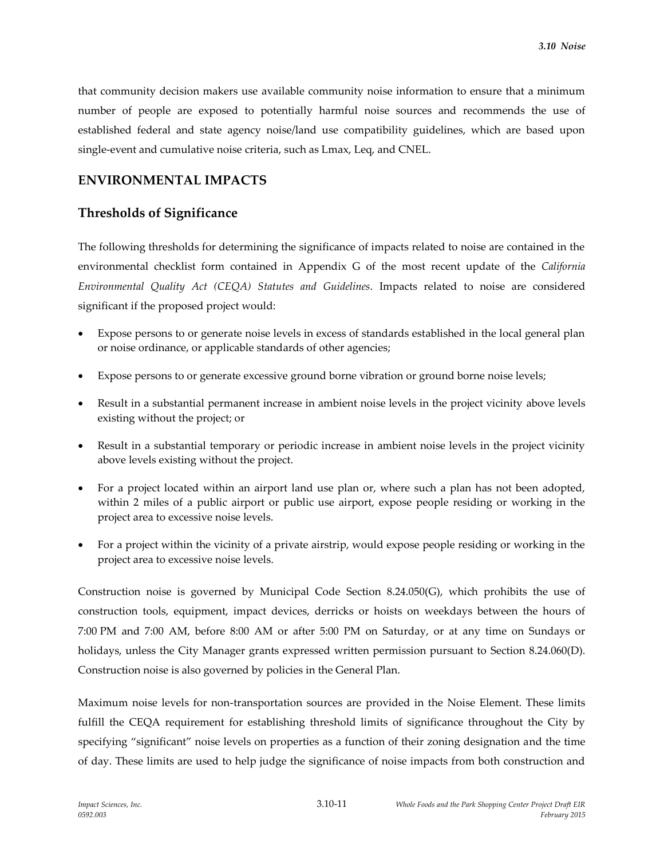that community decision makers use available community noise information to ensure that a minimum number of people are exposed to potentially harmful noise sources and recommends the use of established federal and state agency noise/land use compatibility guidelines, which are based upon single-event and cumulative noise criteria, such as Lmax, Leq, and CNEL.

# **ENVIRONMENTAL IMPACTS**

# **Thresholds of Significance**

The following thresholds for determining the significance of impacts related to noise are contained in the environmental checklist form contained in Appendix G of the most recent update of the *California Environmental Quality Act (CEQA) Statutes and Guidelines*. Impacts related to noise are considered significant if the proposed project would:

- Expose persons to or generate noise levels in excess of standards established in the local general plan or noise ordinance, or applicable standards of other agencies;
- Expose persons to or generate excessive ground borne vibration or ground borne noise levels;
- Result in a substantial permanent increase in ambient noise levels in the project vicinity above levels existing without the project; or
- Result in a substantial temporary or periodic increase in ambient noise levels in the project vicinity above levels existing without the project.
- For a project located within an airport land use plan or, where such a plan has not been adopted, within 2 miles of a public airport or public use airport, expose people residing or working in the project area to excessive noise levels.
- For a project within the vicinity of a private airstrip, would expose people residing or working in the project area to excessive noise levels.

Construction noise is governed by Municipal Code Section 8.24.050(G), which prohibits the use of construction tools, equipment, impact devices, derricks or hoists on weekdays between the hours of 7:00 PM and 7:00 AM, before 8:00 AM or after 5:00 PM on Saturday, or at any time on Sundays or holidays, unless the City Manager grants expressed written permission pursuant to Section 8.24.060(D). Construction noise is also governed by policies in the General Plan.

Maximum noise levels for non-transportation sources are provided in the Noise Element. These limits fulfill the CEQA requirement for establishing threshold limits of significance throughout the City by specifying "significant" noise levels on properties as a function of their zoning designation and the time of day. These limits are used to help judge the significance of noise impacts from both construction and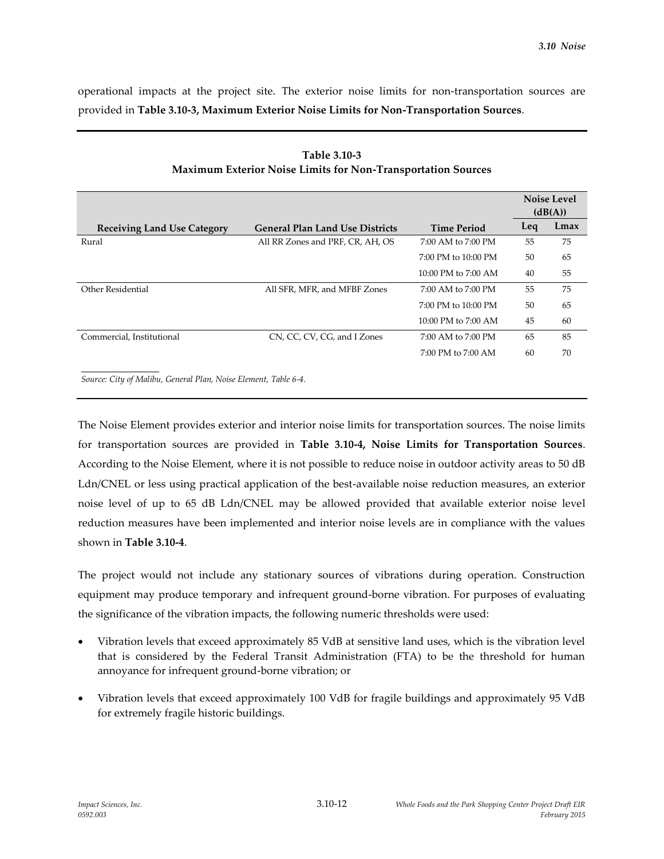operational impacts at the project site. The exterior noise limits for non-transportation sources are provided in **Table 3.10-3, Maximum Exterior Noise Limits for Non-Transportation Sources**.

|                                    |                                        |                         |     | <b>Noise Level</b><br>(dB(A)) |
|------------------------------------|----------------------------------------|-------------------------|-----|-------------------------------|
| <b>Receiving Land Use Category</b> | <b>General Plan Land Use Districts</b> | <b>Time Period</b>      | Leq | Lmax                          |
| Rural                              | All RR Zones and PRF, CR, AH, OS       | 7:00 AM to 7:00 PM      | 55  | 75                            |
|                                    |                                        | $7:00$ PM to $10:00$ PM | 50  | 65                            |
|                                    |                                        | $10:00$ PM to $7:00$ AM | 40  | 55                            |
| Other Residential                  | All SFR, MFR, and MFBF Zones           | $7:00$ AM to $7:00$ PM  | 55  | 75                            |
|                                    |                                        | $7:00$ PM to $10:00$ PM | 50  | 65                            |
|                                    |                                        | 10:00 PM to 7:00 AM     | 45  | 60                            |
| Commercial, Institutional          | CN, CC, CV, CG, and I Zones            | $7:00$ AM to $7:00$ PM  | 65  | 85                            |
|                                    |                                        | $7:00$ PM to $7:00$ AM  | 60  | 70                            |
|                                    |                                        |                         |     |                               |

| Table 3.10-3                                                 |
|--------------------------------------------------------------|
| Maximum Exterior Noise Limits for Non-Transportation Sources |

*Source: City of Malibu, General Plan, Noise Element, Table 6-4.*

The Noise Element provides exterior and interior noise limits for transportation sources. The noise limits for transportation sources are provided in **Table 3.10-4, Noise Limits for Transportation Sources**. According to the Noise Element, where it is not possible to reduce noise in outdoor activity areas to 50 dB Ldn/CNEL or less using practical application of the best-available noise reduction measures, an exterior noise level of up to 65 dB Ldn/CNEL may be allowed provided that available exterior noise level reduction measures have been implemented and interior noise levels are in compliance with the values shown in **Table 3.10-4**.

The project would not include any stationary sources of vibrations during operation. Construction equipment may produce temporary and infrequent ground-borne vibration. For purposes of evaluating the significance of the vibration impacts, the following numeric thresholds were used:

- Vibration levels that exceed approximately 85 VdB at sensitive land uses, which is the vibration level that is considered by the Federal Transit Administration (FTA) to be the threshold for human annoyance for infrequent ground-borne vibration; or
- Vibration levels that exceed approximately 100 VdB for fragile buildings and approximately 95 VdB for extremely fragile historic buildings.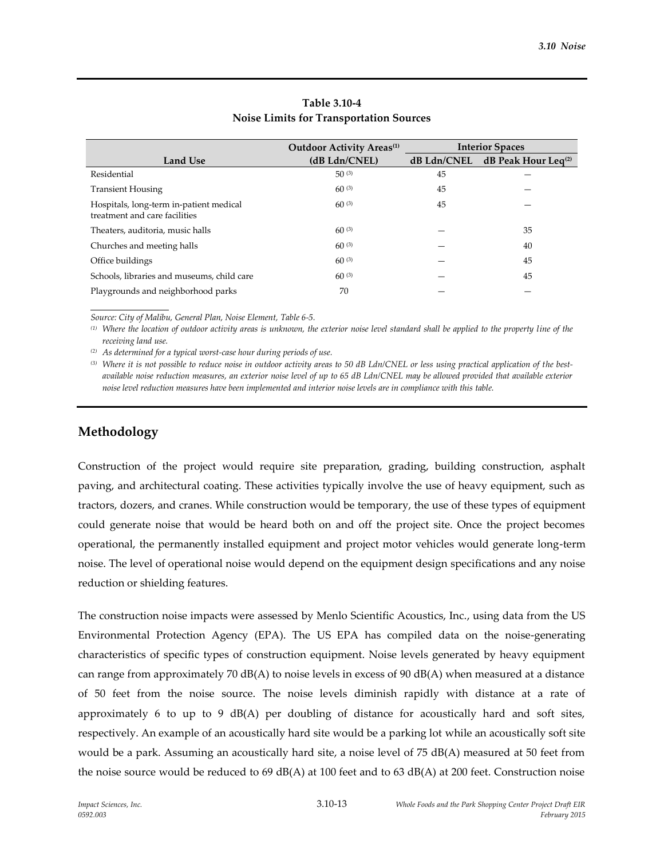|                                                                          | <b>Outdoor Activity Areas</b> <sup>(1)</sup> | <b>Interior Spaces</b> |                        |
|--------------------------------------------------------------------------|----------------------------------------------|------------------------|------------------------|
| <b>Land Use</b>                                                          | (dB Ldn/CNEL)                                | $dB$ Ldn/CNEL          | dB Peak Hour Leq $(2)$ |
| Residential                                                              | 50(3)                                        | 45                     |                        |
| <b>Transient Housing</b>                                                 | $60^{(3)}$                                   | 45                     |                        |
| Hospitals, long-term in-patient medical<br>treatment and care facilities | 60(3)                                        | 45                     |                        |
| Theaters, auditoria, music halls                                         | 60(3)                                        |                        | 35                     |
| Churches and meeting halls                                               | 60(3)                                        |                        | 40                     |
| Office buildings                                                         | $60^{(3)}$                                   |                        | 45                     |
| Schools, libraries and museums, child care                               | 60(3)                                        |                        | 45                     |
| Playgrounds and neighborhood parks                                       | 70                                           |                        |                        |

### **Table 3.10-4 Noise Limits for Transportation Sources**

*Source: City of Malibu, General Plan, Noise Element, Table 6-5.*

*(1) Where the location of outdoor activity areas is unknown, the exterior noise level standard shall be applied to the property line of the receiving land use.*

*(2) As determined for a typical worst-case hour during periods of use.*

*(3) Where it is not possible to reduce noise in outdoor activity areas to 50 dB Ldn/CNEL or less using practical application of the bestavailable noise reduction measures, an exterior noise level of up to 65 dB Ldn/CNEL may be allowed provided that available exterior noise level reduction measures have been implemented and interior noise levels are in compliance with this table.*

# **Methodology**

Construction of the project would require site preparation, grading, building construction, asphalt paving, and architectural coating. These activities typically involve the use of heavy equipment, such as tractors, dozers, and cranes. While construction would be temporary, the use of these types of equipment could generate noise that would be heard both on and off the project site. Once the project becomes operational, the permanently installed equipment and project motor vehicles would generate long-term noise. The level of operational noise would depend on the equipment design specifications and any noise reduction or shielding features.

The construction noise impacts were assessed by Menlo Scientific Acoustics, Inc., using data from the US Environmental Protection Agency (EPA). The US EPA has compiled data on the noise-generating characteristics of specific types of construction equipment. Noise levels generated by heavy equipment can range from approximately 70  $dB(A)$  to noise levels in excess of 90  $dB(A)$  when measured at a distance of 50 feet from the noise source. The noise levels diminish rapidly with distance at a rate of approximately 6 to up to 9  $dB(A)$  per doubling of distance for acoustically hard and soft sites, respectively. An example of an acoustically hard site would be a parking lot while an acoustically soft site would be a park. Assuming an acoustically hard site, a noise level of 75 dB(A) measured at 50 feet from the noise source would be reduced to 69 dB(A) at 100 feet and to 63 dB(A) at 200 feet. Construction noise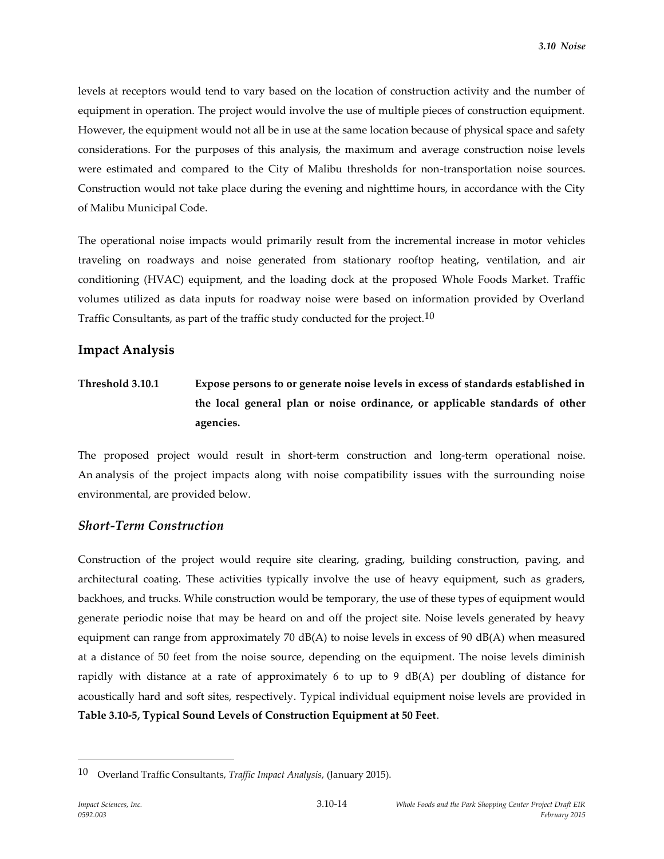levels at receptors would tend to vary based on the location of construction activity and the number of equipment in operation. The project would involve the use of multiple pieces of construction equipment. However, the equipment would not all be in use at the same location because of physical space and safety considerations. For the purposes of this analysis, the maximum and average construction noise levels were estimated and compared to the City of Malibu thresholds for non-transportation noise sources. Construction would not take place during the evening and nighttime hours, in accordance with the City of Malibu Municipal Code.

The operational noise impacts would primarily result from the incremental increase in motor vehicles traveling on roadways and noise generated from stationary rooftop heating, ventilation, and air conditioning (HVAC) equipment, and the loading dock at the proposed Whole Foods Market. Traffic volumes utilized as data inputs for roadway noise were based on information provided by Overland Traffic Consultants, as part of the traffic study conducted for the project.<sup>10</sup>

### **Impact Analysis**

# **Threshold 3.10.1 Expose persons to or generate noise levels in excess of standards established in the local general plan or noise ordinance, or applicable standards of other agencies.**

The proposed project would result in short-term construction and long-term operational noise. An analysis of the project impacts along with noise compatibility issues with the surrounding noise environmental, are provided below.

# *Short-Term Construction*

Construction of the project would require site clearing, grading, building construction, paving, and architectural coating. These activities typically involve the use of heavy equipment, such as graders, backhoes, and trucks. While construction would be temporary, the use of these types of equipment would generate periodic noise that may be heard on and off the project site. Noise levels generated by heavy equipment can range from approximately 70 dB(A) to noise levels in excess of 90 dB(A) when measured at a distance of 50 feet from the noise source, depending on the equipment. The noise levels diminish rapidly with distance at a rate of approximately 6 to up to 9 dB(A) per doubling of distance for acoustically hard and soft sites, respectively. Typical individual equipment noise levels are provided in **Table 3.10-5, Typical Sound Levels of Construction Equipment at 50 Feet**.

<sup>10</sup> Overland Traffic Consultants, *Traffic Impact Analysis*, (January 2015).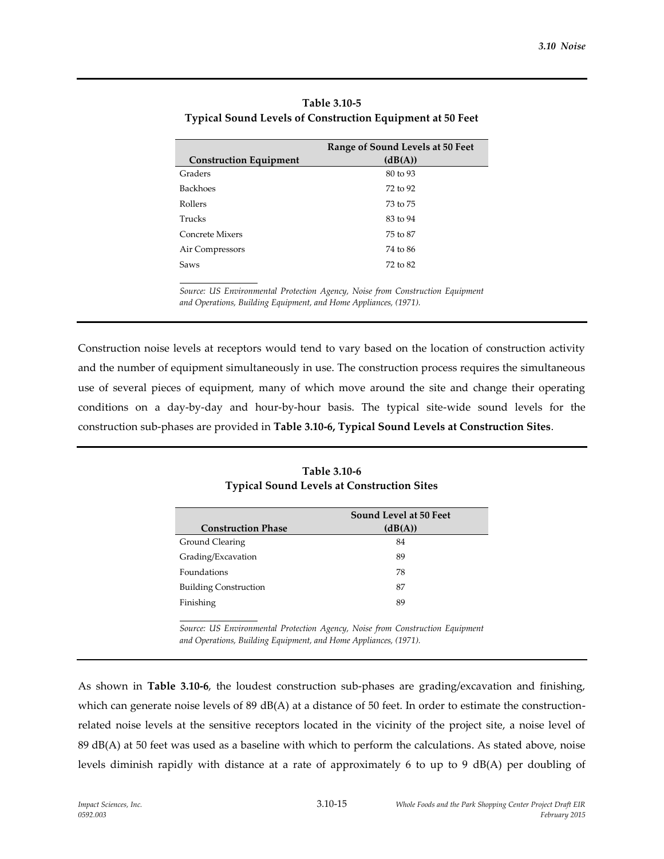|                               | Range of Sound Levels at 50 Feet |
|-------------------------------|----------------------------------|
| <b>Construction Equipment</b> | (dB(A))                          |
| Graders                       | 80 to 93                         |
| <b>Backhoes</b>               | 72 to 92                         |
| Rollers                       | 73 to 75                         |
| Trucks                        | 83 to 94                         |
| Concrete Mixers               | 75 to 87                         |
| Air Compressors               | 74 to 86                         |
| Saws                          | 72 to 82                         |
|                               |                                  |

**Table 3.10-5 Typical Sound Levels of Construction Equipment at 50 Feet**

*Source: US Environmental Protection Agency, Noise from Construction Equipment and Operations, Building Equipment, and Home Appliances, (1971).*

Construction noise levels at receptors would tend to vary based on the location of construction activity and the number of equipment simultaneously in use. The construction process requires the simultaneous use of several pieces of equipment, many of which move around the site and change their operating conditions on a day-by-day and hour-by-hour basis. The typical site-wide sound levels for the construction sub-phases are provided in **Table 3.10-6, Typical Sound Levels at Construction Sites**.

|                              | Sound Level at 50 Feet |
|------------------------------|------------------------|
| <b>Construction Phase</b>    | (dB(A))                |
| Ground Clearing              | 84                     |
| Grading/Excavation           | 89                     |
| Foundations                  | 78                     |
| <b>Building Construction</b> | 87                     |
| Finishing                    | 89                     |

**Table 3.10-6 Typical Sound Levels at Construction Sites** 

*Source: US Environmental Protection Agency, Noise from Construction Equipment and Operations, Building Equipment, and Home Appliances, (1971).*

As shown in **Table 3.10-6**, the loudest construction sub-phases are grading/excavation and finishing, which can generate noise levels of 89 dB(A) at a distance of 50 feet. In order to estimate the constructionrelated noise levels at the sensitive receptors located in the vicinity of the project site, a noise level of 89 dB(A) at 50 feet was used as a baseline with which to perform the calculations. As stated above, noise levels diminish rapidly with distance at a rate of approximately 6 to up to 9 dB(A) per doubling of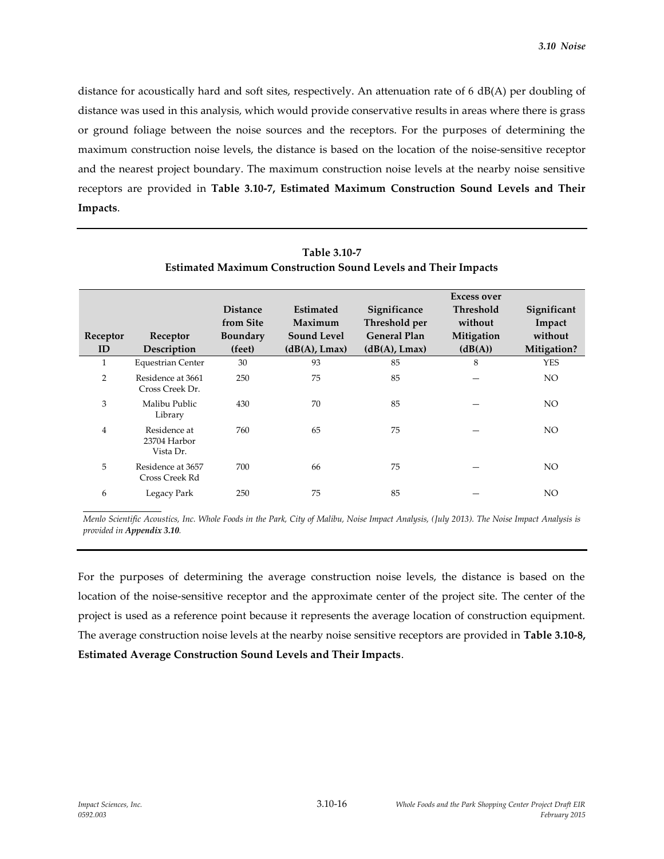distance for acoustically hard and soft sites, respectively. An attenuation rate of 6 dB(A) per doubling of distance was used in this analysis, which would provide conservative results in areas where there is grass or ground foliage between the noise sources and the receptors. For the purposes of determining the maximum construction noise levels, the distance is based on the location of the noise-sensitive receptor and the nearest project boundary. The maximum construction noise levels at the nearby noise sensitive receptors are provided in **Table 3.10-7, Estimated Maximum Construction Sound Levels and Their Impacts**.

|                | езината малицин сонзиценон обана естею ана тиен нираекз |                 |                    |                     |                  |             |  |  |  |  |
|----------------|---------------------------------------------------------|-----------------|--------------------|---------------------|------------------|-------------|--|--|--|--|
|                |                                                         |                 |                    | Excess over         |                  |             |  |  |  |  |
|                |                                                         | <b>Distance</b> | <b>Estimated</b>   | Significance        | <b>Threshold</b> | Significant |  |  |  |  |
|                |                                                         | from Site       | Maximum            | Threshold per       | without          | Impact      |  |  |  |  |
| Receptor       | Receptor                                                | <b>Boundary</b> | <b>Sound Level</b> | <b>General Plan</b> | Mitigation       | without     |  |  |  |  |
| ID             | Description                                             | (feet)          | (dB(A), Lmax)      | (dB(A), Lmax)       | (dB(A))          | Mitigation? |  |  |  |  |
| $\mathbf{1}$   | <b>Equestrian Center</b>                                | 30              | 93                 | 85                  | 8                | <b>YES</b>  |  |  |  |  |
| 2              | Residence at 3661<br>Cross Creek Dr.                    | 250             | 75                 | 85                  |                  | NO.         |  |  |  |  |
| 3              | Malibu Public<br>Library                                | 430             | 70                 | 85                  |                  | NO.         |  |  |  |  |
| $\overline{4}$ | Residence at<br>23704 Harbor<br>Vista Dr.               | 760             | 65                 | 75                  |                  | NO.         |  |  |  |  |
| 5              | Residence at 3657<br>Cross Creek Rd                     | 700             | 66                 | 75                  |                  | NO.         |  |  |  |  |
| 6              | Legacy Park                                             | 250             | 75                 | 85                  |                  | NO.         |  |  |  |  |

| Table 3.10-7                                                  |  |
|---------------------------------------------------------------|--|
| Estimated Maximum Construction Sound Levels and Their Impacts |  |

*Menlo Scientific Acoustics, Inc. Whole Foods in the Park, City of Malibu, Noise Impact Analysis, (July 2013). The Noise Impact Analysis is provided in Appendix 3.10.*

For the purposes of determining the average construction noise levels, the distance is based on the location of the noise-sensitive receptor and the approximate center of the project site. The center of the project is used as a reference point because it represents the average location of construction equipment. The average construction noise levels at the nearby noise sensitive receptors are provided in **Table 3.10-8, Estimated Average Construction Sound Levels and Their Impacts**.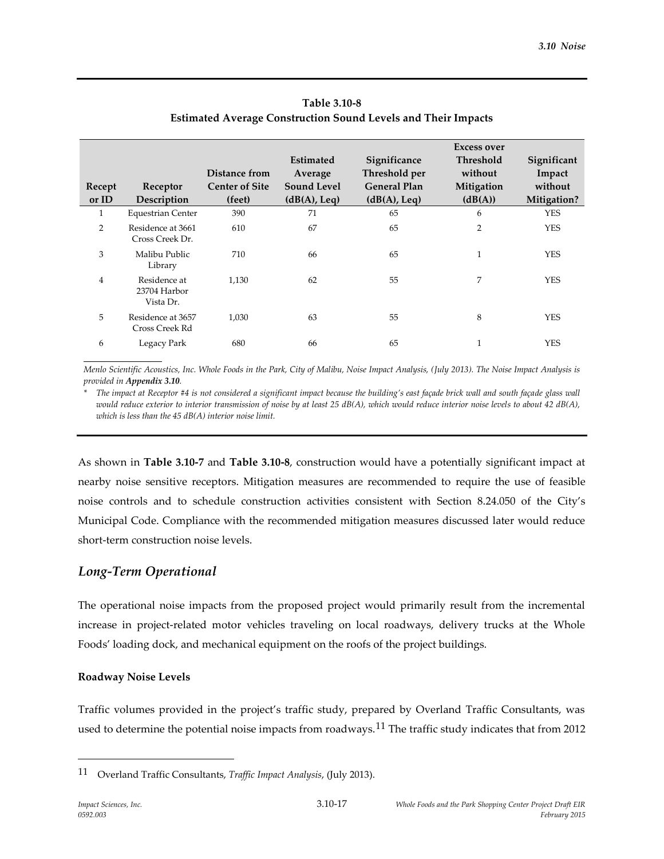|                |                                           | Distance from         | <b>Estimated</b><br>Average | Significance<br>Threshold per | <b>Excess over</b><br><b>Threshold</b><br>without | Significant<br>Impact |
|----------------|-------------------------------------------|-----------------------|-----------------------------|-------------------------------|---------------------------------------------------|-----------------------|
| Recept         | Receptor                                  | <b>Center of Site</b> | <b>Sound Level</b>          | <b>General Plan</b>           | Mitigation                                        | without               |
| or ID          | Description                               | (feet)                | (dB(A), Leq)                | (dB(A), Leq)                  | (dB(A))                                           | Mitigation?           |
| 1              | <b>Equestrian Center</b>                  | 390                   | 71                          | 65                            | 6                                                 | <b>YES</b>            |
| 2              | Residence at 3661<br>Cross Creek Dr.      | 610                   | 67                          | 65                            | $\overline{2}$                                    | <b>YES</b>            |
| 3              | Malibu Public<br>Library                  | 710                   | 66                          | 65                            | $\mathbf{1}$                                      | <b>YES</b>            |
| $\overline{4}$ | Residence at<br>23704 Harbor<br>Vista Dr. | 1,130                 | 62                          | 55                            | 7                                                 | <b>YES</b>            |
| 5              | Residence at 3657<br>Cross Creek Rd       | 1,030                 | 63                          | 55                            | 8                                                 | <b>YES</b>            |
| 6              | Legacy Park                               | 680                   | 66                          | 65                            |                                                   | <b>YES</b>            |

# **Table 3.10-8 Estimated Average Construction Sound Levels and Their Impacts**

*Menlo Scientific Acoustics, Inc. Whole Foods in the Park, City of Malibu, Noise Impact Analysis, (July 2013). The Noise Impact Analysis is provided in Appendix 3.10.*

*\* The impact at Receptor #4 is not considered a significant impact because the building's east façade brick wall and south façade glass wall would reduce exterior to interior transmission of noise by at least 25 dB(A), which would reduce interior noise levels to about 42 dB(A), which is less than the 45 dB(A) interior noise limit.*

As shown in **Table 3.10-7** and **Table 3.10-8**, construction would have a potentially significant impact at nearby noise sensitive receptors. Mitigation measures are recommended to require the use of feasible noise controls and to schedule construction activities consistent with Section 8.24.050 of the City's Municipal Code. Compliance with the recommended mitigation measures discussed later would reduce short-term construction noise levels.

# *Long-Term Operational*

The operational noise impacts from the proposed project would primarily result from the incremental increase in project-related motor vehicles traveling on local roadways, delivery trucks at the Whole Foods' loading dock, and mechanical equipment on the roofs of the project buildings.

# **Roadway Noise Levels**

Traffic volumes provided in the project's traffic study, prepared by Overland Traffic Consultants, was used to determine the potential noise impacts from roadways.<sup>11</sup> The traffic study indicates that from 2012

<sup>11</sup> Overland Traffic Consultants, *Traffic Impact Analysis*, (July 2013).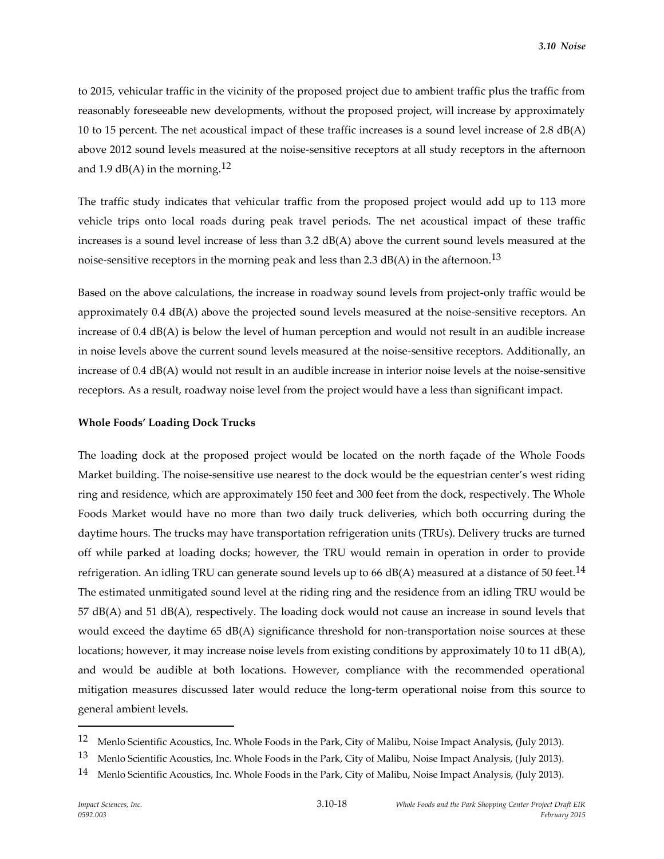to 2015, vehicular traffic in the vicinity of the proposed project due to ambient traffic plus the traffic from reasonably foreseeable new developments, without the proposed project, will increase by approximately 10 to 15 percent. The net acoustical impact of these traffic increases is a sound level increase of 2.8 dB(A) above 2012 sound levels measured at the noise-sensitive receptors at all study receptors in the afternoon and 1.9 dB(A) in the morning. $^{12}$ 

The traffic study indicates that vehicular traffic from the proposed project would add up to 113 more vehicle trips onto local roads during peak travel periods. The net acoustical impact of these traffic increases is a sound level increase of less than 3.2 dB(A) above the current sound levels measured at the noise-sensitive receptors in the morning peak and less than 2.3 dB(A) in the afternoon. $^{13}$ 

Based on the above calculations, the increase in roadway sound levels from project-only traffic would be approximately 0.4 dB(A) above the projected sound levels measured at the noise-sensitive receptors. An increase of 0.4 dB(A) is below the level of human perception and would not result in an audible increase in noise levels above the current sound levels measured at the noise-sensitive receptors. Additionally, an increase of 0.4 dB(A) would not result in an audible increase in interior noise levels at the noise-sensitive receptors. As a result, roadway noise level from the project would have a less than significant impact.

#### **Whole Foods' Loading Dock Trucks**

The loading dock at the proposed project would be located on the north façade of the Whole Foods Market building. The noise-sensitive use nearest to the dock would be the equestrian center's west riding ring and residence, which are approximately 150 feet and 300 feet from the dock, respectively. The Whole Foods Market would have no more than two daily truck deliveries, which both occurring during the daytime hours. The trucks may have transportation refrigeration units (TRUs). Delivery trucks are turned off while parked at loading docks; however, the TRU would remain in operation in order to provide refrigeration. An idling TRU can generate sound levels up to 66 dB(A) measured at a distance of 50 feet.<sup>14</sup> The estimated unmitigated sound level at the riding ring and the residence from an idling TRU would be 57 dB(A) and 51 dB(A), respectively. The loading dock would not cause an increase in sound levels that would exceed the daytime 65 dB(A) significance threshold for non-transportation noise sources at these locations; however, it may increase noise levels from existing conditions by approximately 10 to 11 dB(A), and would be audible at both locations. However, compliance with the recommended operational mitigation measures discussed later would reduce the long-term operational noise from this source to general ambient levels.

1

<sup>12</sup> Menlo Scientific Acoustics, Inc. Whole Foods in the Park, City of Malibu, Noise Impact Analysis, (July 2013).

<sup>13</sup> Menlo Scientific Acoustics, Inc. Whole Foods in the Park, City of Malibu, Noise Impact Analysis, (July 2013).

<sup>14</sup> Menlo Scientific Acoustics, Inc. Whole Foods in the Park, City of Malibu, Noise Impact Analysis, (July 2013).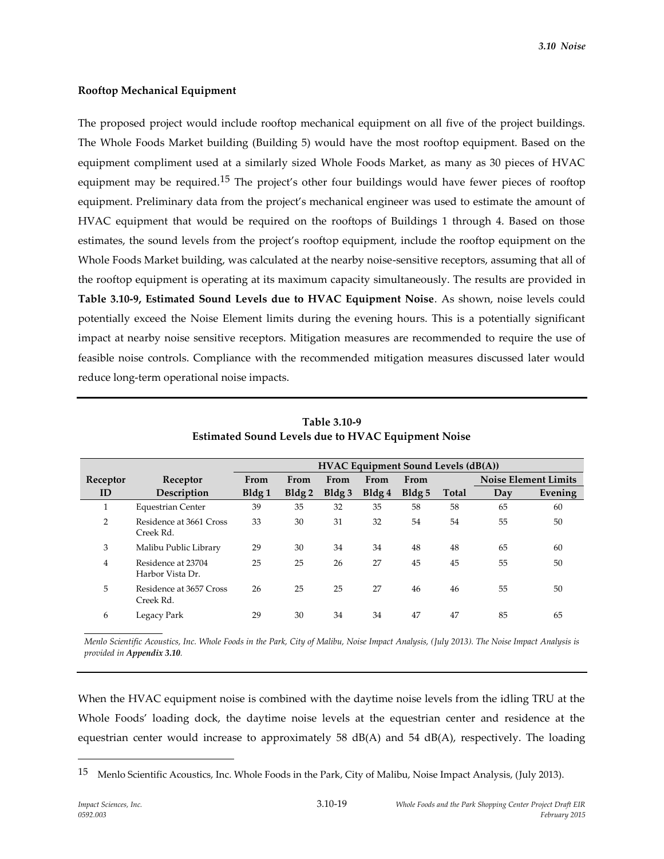#### **Rooftop Mechanical Equipment**

The proposed project would include rooftop mechanical equipment on all five of the project buildings. The Whole Foods Market building (Building 5) would have the most rooftop equipment. Based on the equipment compliment used at a similarly sized Whole Foods Market, as many as 30 pieces of HVAC equipment may be required.<sup>15</sup> The project's other four buildings would have fewer pieces of rooftop equipment. Preliminary data from the project's mechanical engineer was used to estimate the amount of HVAC equipment that would be required on the rooftops of Buildings 1 through 4. Based on those estimates, the sound levels from the project's rooftop equipment, include the rooftop equipment on the Whole Foods Market building, was calculated at the nearby noise-sensitive receptors, assuming that all of the rooftop equipment is operating at its maximum capacity simultaneously. The results are provided in **Table 3.10-9, Estimated Sound Levels due to HVAC Equipment Noise**. As shown, noise levels could potentially exceed the Noise Element limits during the evening hours. This is a potentially significant impact at nearby noise sensitive receptors. Mitigation measures are recommended to require the use of feasible noise controls. Compliance with the recommended mitigation measures discussed later would reduce long-term operational noise impacts.

|                |                                        | <b>HVAC Equipment Sound Levels (dB(A))</b> |       |       |       |                   |       |     |                             |
|----------------|----------------------------------------|--------------------------------------------|-------|-------|-------|-------------------|-------|-----|-----------------------------|
| Receptor       | Receptor                               | From                                       | From  | From  | From  | From              |       |     | <b>Noise Element Limits</b> |
| ID             | Description                            | Bldg 1                                     | Bldg2 | Bldg3 | Bldg4 | Bldg <sub>5</sub> | Total | Day | Evening                     |
| $\perp$        | <b>Equestrian Center</b>               | 39                                         | 35    | 32    | 35    | 58                | 58    | 65  | 60                          |
| $\overline{2}$ | Residence at 3661 Cross<br>Creek Rd.   | 33                                         | 30    | 31    | 32    | 54                | 54    | 55  | 50                          |
| 3              | Malibu Public Library                  | 29                                         | 30    | 34    | 34    | 48                | 48    | 65  | 60                          |
| $\overline{4}$ | Residence at 23704<br>Harbor Vista Dr. | 25                                         | 25    | 26    | 27    | 45                | 45    | 55  | 50                          |
| 5              | Residence at 3657 Cross<br>Creek Rd.   | 26                                         | 25    | 25    | 27    | 46                | 46    | 55  | 50                          |
| 6              | Legacy Park                            | 29                                         | 30    | 34    | 34    | 47                | 47    | 85  | 65                          |

**Table 3.10-9 Estimated Sound Levels due to HVAC Equipment Noise** 

*Menlo Scientific Acoustics, Inc. Whole Foods in the Park, City of Malibu, Noise Impact Analysis, (July 2013). The Noise Impact Analysis is provided in Appendix 3.10.*

When the HVAC equipment noise is combined with the daytime noise levels from the idling TRU at the Whole Foods' loading dock, the daytime noise levels at the equestrian center and residence at the equestrian center would increase to approximately 58  $dB(A)$  and 54  $dB(A)$ , respectively. The loading

<sup>&</sup>lt;sup>15</sup> Menlo Scientific Acoustics, Inc. Whole Foods in the Park, City of Malibu, Noise Impact Analysis, (July 2013).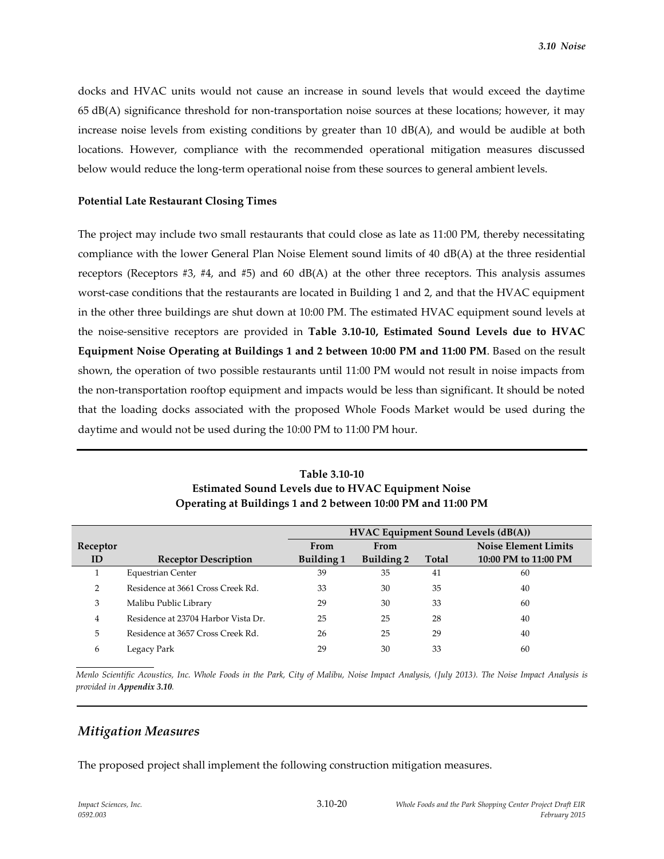docks and HVAC units would not cause an increase in sound levels that would exceed the daytime 65 dB(A) significance threshold for non-transportation noise sources at these locations; however, it may increase noise levels from existing conditions by greater than 10 dB(A), and would be audible at both locations. However, compliance with the recommended operational mitigation measures discussed below would reduce the long-term operational noise from these sources to general ambient levels.

#### **Potential Late Restaurant Closing Times**

The project may include two small restaurants that could close as late as 11:00 PM, thereby necessitating compliance with the lower General Plan Noise Element sound limits of 40 dB(A) at the three residential receptors (Receptors  $#3$ ,  $#4$ , and  $#5$ ) and 60 dB(A) at the other three receptors. This analysis assumes worst-case conditions that the restaurants are located in Building 1 and 2, and that the HVAC equipment in the other three buildings are shut down at 10:00 PM. The estimated HVAC equipment sound levels at the noise-sensitive receptors are provided in **Table 3.10-10, Estimated Sound Levels due to HVAC Equipment Noise Operating at Buildings 1 and 2 between 10:00 PM and 11:00 PM**. Based on the result shown, the operation of two possible restaurants until 11:00 PM would not result in noise impacts from the non-transportation rooftop equipment and impacts would be less than significant. It should be noted that the loading docks associated with the proposed Whole Foods Market would be used during the daytime and would not be used during the 10:00 PM to 11:00 PM hour.

|               |                                     | <b>HVAC Equipment Sound Levels (dB(A))</b> |                   |              |                             |  |  |
|---------------|-------------------------------------|--------------------------------------------|-------------------|--------------|-----------------------------|--|--|
| Receptor      |                                     | From                                       | From              |              | <b>Noise Element Limits</b> |  |  |
| ID            | <b>Receptor Description</b>         | Building 1                                 | <b>Building 2</b> | <b>Total</b> | 10:00 PM to 11:00 PM        |  |  |
|               | <b>Equestrian Center</b>            | 39                                         | 35                | 41           | 60                          |  |  |
| $\mathcal{P}$ | Residence at 3661 Cross Creek Rd.   | 33                                         | 30                | 35           | 40                          |  |  |
| 3             | Malibu Public Library               | 29                                         | 30                | 33           | 60                          |  |  |
| 4             | Residence at 23704 Harbor Vista Dr. | 25                                         | 25                | 28           | 40                          |  |  |
| 5             | Residence at 3657 Cross Creek Rd.   | 26                                         | 25                | 29           | 40                          |  |  |
| 6             | Legacy Park                         | 29                                         | 30                | 33           | 60                          |  |  |

**Table 3.10-10 Estimated Sound Levels due to HVAC Equipment Noise Operating at Buildings 1 and 2 between 10:00 PM and 11:00 PM** 

*Menlo Scientific Acoustics, Inc. Whole Foods in the Park, City of Malibu, Noise Impact Analysis, (July 2013). The Noise Impact Analysis is provided in Appendix 3.10.*

# *Mitigation Measures*

The proposed project shall implement the following construction mitigation measures.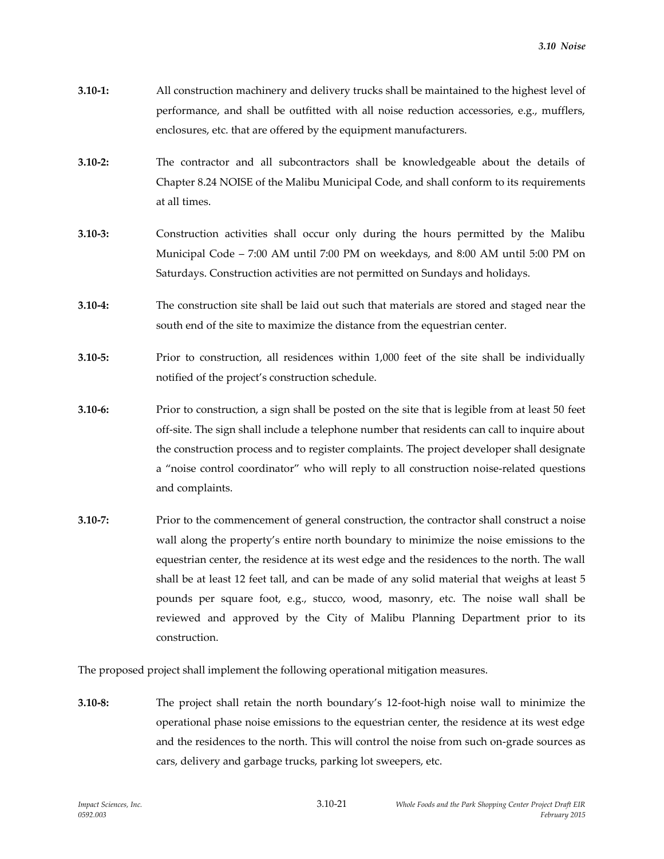- **3.10-1:** All construction machinery and delivery trucks shall be maintained to the highest level of performance, and shall be outfitted with all noise reduction accessories, e.g., mufflers, enclosures, etc. that are offered by the equipment manufacturers.
- **3.10-2:** The contractor and all subcontractors shall be knowledgeable about the details of Chapter 8.24 NOISE of the Malibu Municipal Code, and shall conform to its requirements at all times.
- **3.10-3:** Construction activities shall occur only during the hours permitted by the Malibu Municipal Code – 7:00 AM until 7:00 PM on weekdays, and 8:00 AM until 5:00 PM on Saturdays. Construction activities are not permitted on Sundays and holidays.
- **3.10-4:** The construction site shall be laid out such that materials are stored and staged near the south end of the site to maximize the distance from the equestrian center.
- **3.10-5:** Prior to construction, all residences within 1,000 feet of the site shall be individually notified of the project's construction schedule.
- **3.10-6:** Prior to construction, a sign shall be posted on the site that is legible from at least 50 feet off-site. The sign shall include a telephone number that residents can call to inquire about the construction process and to register complaints. The project developer shall designate a "noise control coordinator" who will reply to all construction noise-related questions and complaints.
- **3.10-7:** Prior to the commencement of general construction, the contractor shall construct a noise wall along the property's entire north boundary to minimize the noise emissions to the equestrian center, the residence at its west edge and the residences to the north. The wall shall be at least 12 feet tall, and can be made of any solid material that weighs at least 5 pounds per square foot, e.g., stucco, wood, masonry, etc. The noise wall shall be reviewed and approved by the City of Malibu Planning Department prior to its construction.

The proposed project shall implement the following operational mitigation measures.

**3.10-8:** The project shall retain the north boundary's 12-foot-high noise wall to minimize the operational phase noise emissions to the equestrian center, the residence at its west edge and the residences to the north. This will control the noise from such on-grade sources as cars, delivery and garbage trucks, parking lot sweepers, etc.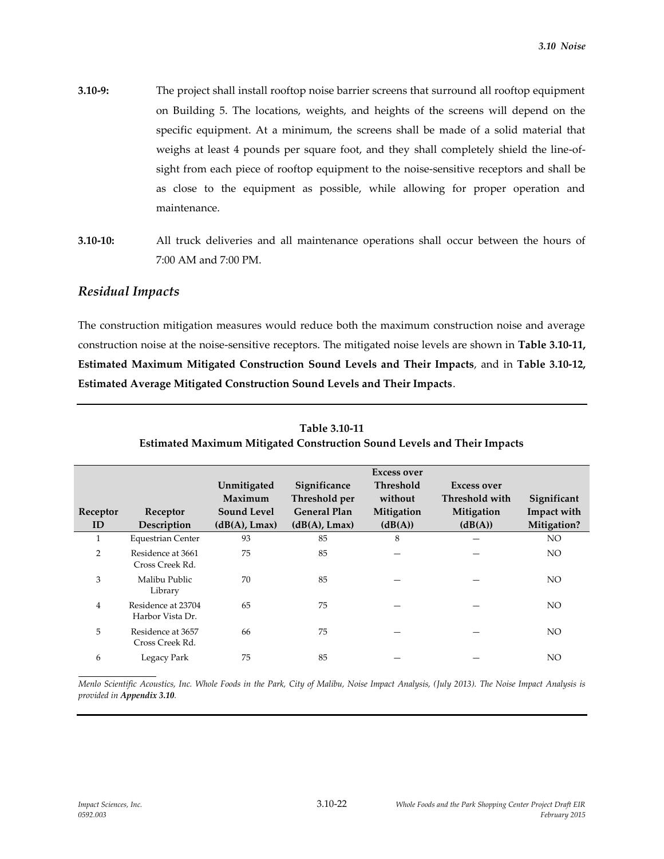- **3.10-9:** The project shall install rooftop noise barrier screens that surround all rooftop equipment on Building 5. The locations, weights, and heights of the screens will depend on the specific equipment. At a minimum, the screens shall be made of a solid material that weighs at least 4 pounds per square foot, and they shall completely shield the line-ofsight from each piece of rooftop equipment to the noise-sensitive receptors and shall be as close to the equipment as possible, while allowing for proper operation and maintenance.
- **3.10-10:** All truck deliveries and all maintenance operations shall occur between the hours of 7:00 AM and 7:00 PM.

# *Residual Impacts*

The construction mitigation measures would reduce both the maximum construction noise and average construction noise at the noise-sensitive receptors. The mitigated noise levels are shown in **Table 3.10-11, Estimated Maximum Mitigated Construction Sound Levels and Their Impacts**, and in **Table 3.10-12, Estimated Average Mitigated Construction Sound Levels and Their Impacts**.

|                |                                        |                    |                     | <b>Excess over</b> |                    |             |
|----------------|----------------------------------------|--------------------|---------------------|--------------------|--------------------|-------------|
|                |                                        | Unmitigated        | Significance        | <b>Threshold</b>   | <b>Excess over</b> |             |
|                |                                        | Maximum            | Threshold per       | without            | Threshold with     | Significant |
| Receptor       | Receptor                               | <b>Sound Level</b> | <b>General Plan</b> | Mitigation         | Mitigation         | Impact with |
| ID             | Description                            | (dB(A), Lmax)      | (dB(A), Lmax)       | (dB(A))            | (dB(A))            | Mitigation? |
| 1              | <b>Equestrian Center</b>               | 93                 | 85                  | 8                  |                    | NO.         |
| 2              | Residence at 3661<br>Cross Creek Rd.   | 75                 | 85                  |                    |                    | NO.         |
| 3              | Malibu Public<br>Library               | 70                 | 85                  |                    |                    | NO.         |
| $\overline{4}$ | Residence at 23704<br>Harbor Vista Dr. | 65                 | 75                  |                    |                    | NO.         |
| 5              | Residence at 3657<br>Cross Creek Rd.   | 66                 | 75                  |                    |                    | NO.         |
| 6              | Legacy Park                            | 75                 | 85                  |                    |                    | NO.         |

**Table 3.10-11 Estimated Maximum Mitigated Construction Sound Levels and Their Impacts**

*Menlo Scientific Acoustics, Inc. Whole Foods in the Park, City of Malibu, Noise Impact Analysis, (July 2013). The Noise Impact Analysis is provided in Appendix 3.10.*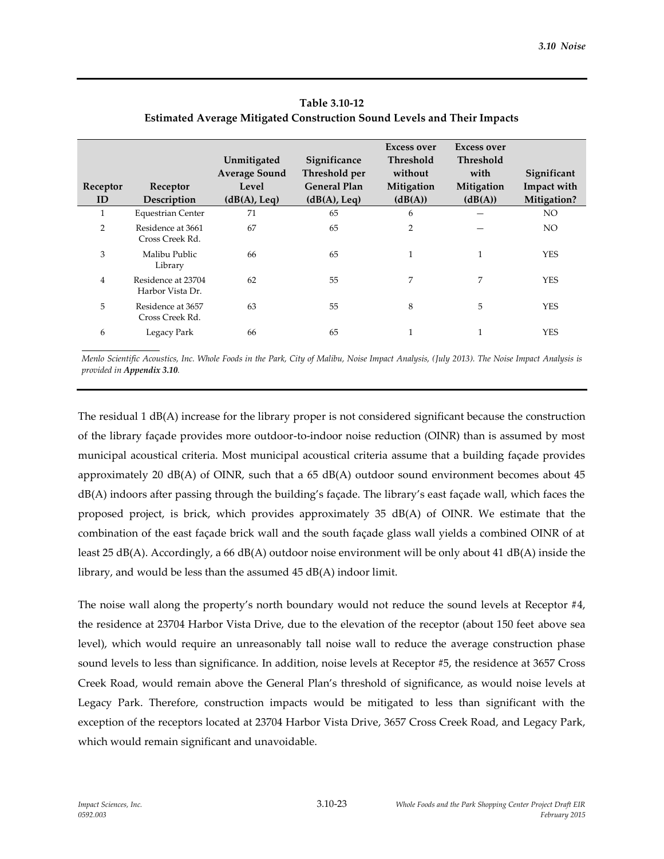| Receptor<br>ID | Receptor<br>Description                | Unmitigated<br><b>Average Sound</b><br>Level<br>(dB(A), Leq) | Significance<br>Threshold per<br><b>General Plan</b><br>(dB(A), Leq) | <b>Excess over</b><br><b>Threshold</b><br>without<br>Mitigation<br>(dB(A)) | <b>Excess over</b><br>Threshold<br>with<br>Mitigation<br>(dB(A)) | Significant<br>Impact with<br>Mitigation? |
|----------------|----------------------------------------|--------------------------------------------------------------|----------------------------------------------------------------------|----------------------------------------------------------------------------|------------------------------------------------------------------|-------------------------------------------|
| 1              | <b>Equestrian Center</b>               | 71                                                           | 65                                                                   | 6                                                                          |                                                                  | NO.                                       |
| 2              | Residence at 3661<br>Cross Creek Rd.   | 67                                                           | 65                                                                   | $\overline{2}$                                                             |                                                                  | NO.                                       |
| 3              | Malibu Public<br>Library               | 66                                                           | 65                                                                   | $\mathbf{1}$                                                               |                                                                  | <b>YES</b>                                |
| $\overline{4}$ | Residence at 23704<br>Harbor Vista Dr. | 62                                                           | 55                                                                   | 7                                                                          | 7                                                                | <b>YES</b>                                |
| 5              | Residence at 3657<br>Cross Creek Rd.   | 63                                                           | 55                                                                   | 8                                                                          | 5                                                                | <b>YES</b>                                |
| 6              | Legacy Park                            | 66                                                           | 65                                                                   | 1                                                                          |                                                                  | YES                                       |

# **Table 3.10-12 Estimated Average Mitigated Construction Sound Levels and Their Impacts**

*Menlo Scientific Acoustics, Inc. Whole Foods in the Park, City of Malibu, Noise Impact Analysis, (July 2013). The Noise Impact Analysis is provided in Appendix 3.10.*

The residual 1 dB(A) increase for the library proper is not considered significant because the construction of the library façade provides more outdoor-to-indoor noise reduction (OINR) than is assumed by most municipal acoustical criteria. Most municipal acoustical criteria assume that a building façade provides approximately 20  $dB(A)$  of OINR, such that a 65  $dB(A)$  outdoor sound environment becomes about 45 dB(A) indoors after passing through the building's façade. The library's east façade wall, which faces the proposed project, is brick, which provides approximately 35 dB(A) of OINR. We estimate that the combination of the east façade brick wall and the south façade glass wall yields a combined OINR of at least 25 dB(A). Accordingly, a 66 dB(A) outdoor noise environment will be only about 41 dB(A) inside the library, and would be less than the assumed 45 dB(A) indoor limit.

The noise wall along the property's north boundary would not reduce the sound levels at Receptor #4, the residence at 23704 Harbor Vista Drive, due to the elevation of the receptor (about 150 feet above sea level), which would require an unreasonably tall noise wall to reduce the average construction phase sound levels to less than significance. In addition, noise levels at Receptor #5, the residence at 3657 Cross Creek Road, would remain above the General Plan's threshold of significance, as would noise levels at Legacy Park. Therefore, construction impacts would be mitigated to less than significant with the exception of the receptors located at 23704 Harbor Vista Drive, 3657 Cross Creek Road, and Legacy Park, which would remain significant and unavoidable.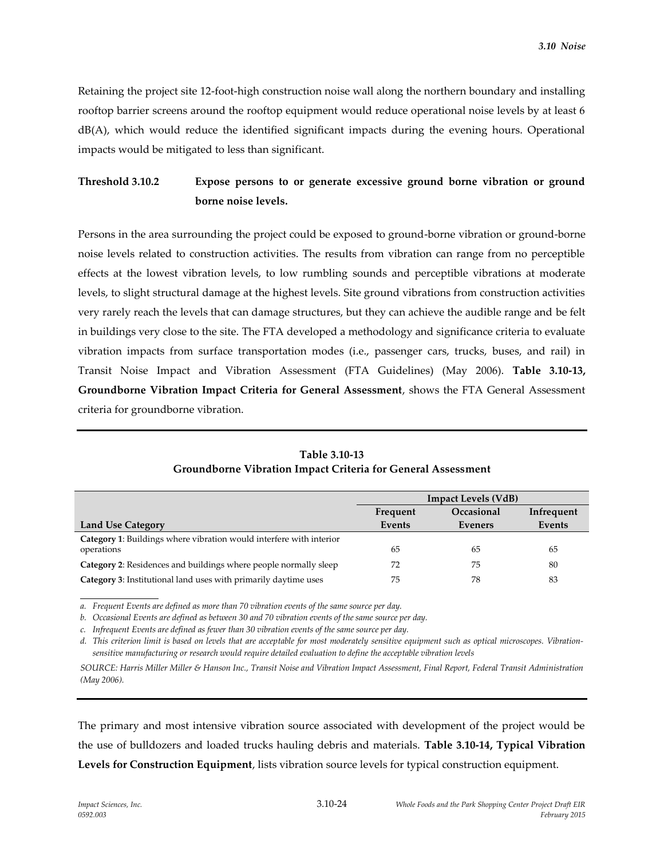Retaining the project site 12-foot-high construction noise wall along the northern boundary and installing rooftop barrier screens around the rooftop equipment would reduce operational noise levels by at least 6 dB(A), which would reduce the identified significant impacts during the evening hours. Operational impacts would be mitigated to less than significant.

# **Threshold 3.10.2 Expose persons to or generate excessive ground borne vibration or ground borne noise levels.**

Persons in the area surrounding the project could be exposed to ground-borne vibration or ground-borne noise levels related to construction activities. The results from vibration can range from no perceptible effects at the lowest vibration levels, to low rumbling sounds and perceptible vibrations at moderate levels, to slight structural damage at the highest levels. Site ground vibrations from construction activities very rarely reach the levels that can damage structures, but they can achieve the audible range and be felt in buildings very close to the site. The FTA developed a methodology and significance criteria to evaluate vibration impacts from surface transportation modes (i.e., passenger cars, trucks, buses, and rail) in Transit Noise Impact and Vibration Assessment (FTA Guidelines) (May 2006). **Table 3.10-13, Groundborne Vibration Impact Criteria for General Assessment**, shows the FTA General Assessment criteria for groundborne vibration.

|                                                                            | <b>Impact Levels (VdB)</b>           |         |        |  |
|----------------------------------------------------------------------------|--------------------------------------|---------|--------|--|
|                                                                            | Occasional<br>Infrequent<br>Frequent |         |        |  |
| <b>Land Use Category</b>                                                   | Events                               | Eveners | Events |  |
| <b>Category 1:</b> Buildings where vibration would interfere with interior |                                      |         |        |  |
| operations                                                                 | 65                                   | 65      | 65     |  |
| <b>Category 2:</b> Residences and buildings where people normally sleep    | 72                                   | 75      | 80     |  |
| Category 3: Institutional land uses with primarily daytime uses            | 75                                   | 78      | 83     |  |

**Table 3.10-13 Groundborne Vibration Impact Criteria for General Assessment**

*a. Frequent Events are defined as more than 70 vibration events of the same source per day.* 

*b. Occasional Events are defined as between 30 and 70 vibration events of the same source per day.* 

*c. Infrequent Events are defined as fewer than 30 vibration events of the same source per day.* 

*d. This criterion limit is based on levels that are acceptable for most moderately sensitive equipment such as optical microscopes. Vibrationsensitive manufacturing or research would require detailed evaluation to define the acceptable vibration levels*

*SOURCE: Harris Miller Miller & Hanson Inc., Transit Noise and Vibration Impact Assessment, Final Report, Federal Transit Administration (May 2006).*

The primary and most intensive vibration source associated with development of the project would be the use of bulldozers and loaded trucks hauling debris and materials. **Table 3.10-14, Typical Vibration Levels for Construction Equipment**, lists vibration source levels for typical construction equipment.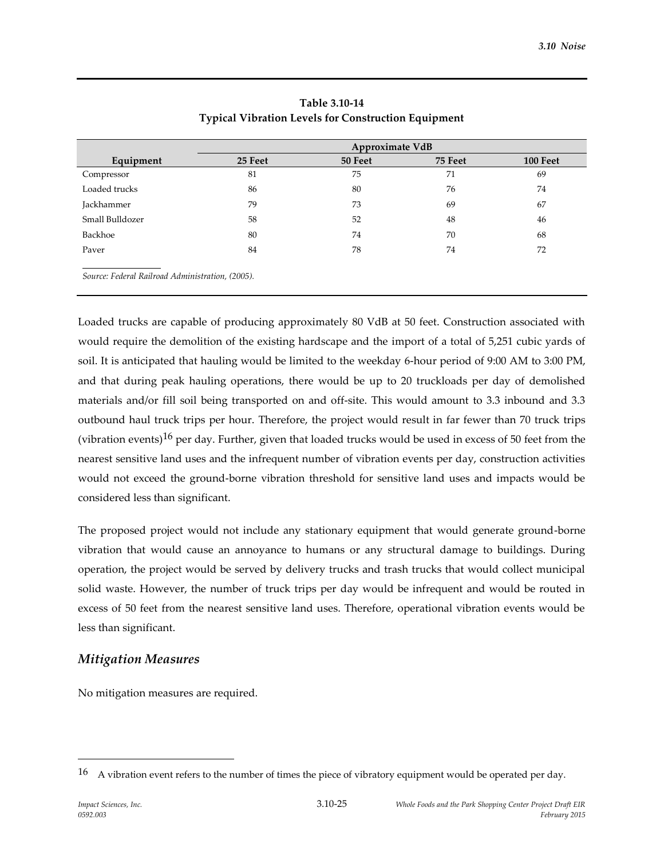|                 | Approximate VdB |         |         |          |  |  |  |
|-----------------|-----------------|---------|---------|----------|--|--|--|
| Equipment       | 25 Feet         | 50 Feet | 75 Feet | 100 Feet |  |  |  |
| Compressor      | 81              | 75      | 71      | 69       |  |  |  |
| Loaded trucks   | 86              | 80      | 76      | 74       |  |  |  |
| Jackhammer      | 79              | 73      | 69      | 67       |  |  |  |
| Small Bulldozer | 58              | 52      | 48      | 46       |  |  |  |
| Backhoe         | 80              | 74      | 70      | 68       |  |  |  |
| Paver           | 84              | 78      | 74      | 72       |  |  |  |

# **Table 3.10-14 Typical Vibration Levels for Construction Equipment**

Loaded trucks are capable of producing approximately 80 VdB at 50 feet. Construction associated with would require the demolition of the existing hardscape and the import of a total of 5,251 cubic yards of soil. It is anticipated that hauling would be limited to the weekday 6‐hour period of 9:00 AM to 3:00 PM, and that during peak hauling operations, there would be up to 20 truckloads per day of demolished materials and/or fill soil being transported on and off‐site. This would amount to 3.3 inbound and 3.3 outbound haul truck trips per hour. Therefore, the project would result in far fewer than 70 truck trips (vibration events) $^{16}$  per day. Further, given that loaded trucks would be used in excess of 50 feet from the nearest sensitive land uses and the infrequent number of vibration events per day, construction activities would not exceed the ground-borne vibration threshold for sensitive land uses and impacts would be considered less than significant.

The proposed project would not include any stationary equipment that would generate ground-borne vibration that would cause an annoyance to humans or any structural damage to buildings. During operation, the project would be served by delivery trucks and trash trucks that would collect municipal solid waste. However, the number of truck trips per day would be infrequent and would be routed in excess of 50 feet from the nearest sensitive land uses. Therefore, operational vibration events would be less than significant.

# *Mitigation Measures*

No mitigation measures are required.

<sup>16</sup> A vibration event refers to the number of times the piece of vibratory equipment would be operated per day.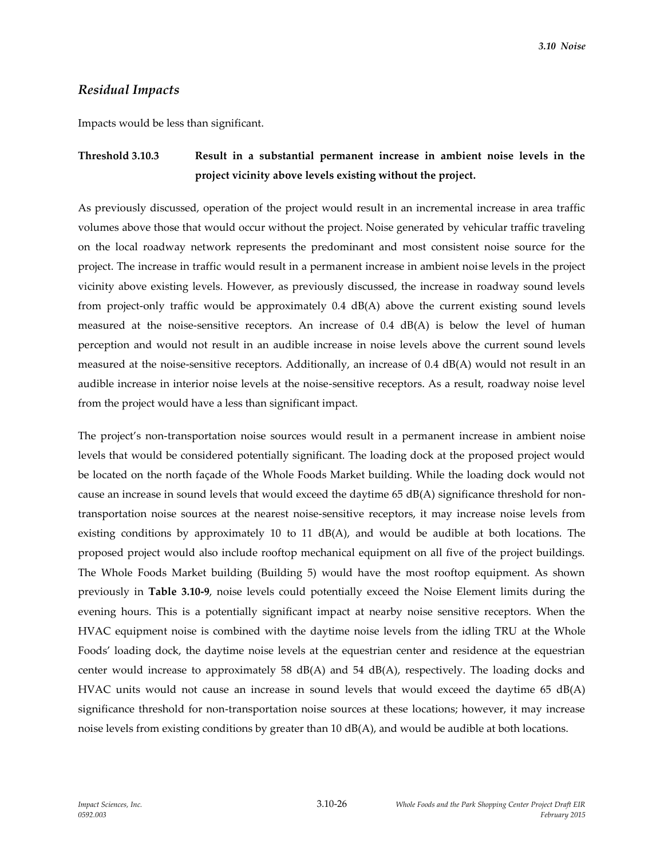#### *Residual Impacts*

Impacts would be less than significant.

# **Threshold 3.10.3 Result in a substantial permanent increase in ambient noise levels in the project vicinity above levels existing without the project.**

As previously discussed, operation of the project would result in an incremental increase in area traffic volumes above those that would occur without the project. Noise generated by vehicular traffic traveling on the local roadway network represents the predominant and most consistent noise source for the project. The increase in traffic would result in a permanent increase in ambient noise levels in the project vicinity above existing levels. However, as previously discussed, the increase in roadway sound levels from project-only traffic would be approximately 0.4 dB(A) above the current existing sound levels measured at the noise-sensitive receptors. An increase of 0.4 dB(A) is below the level of human perception and would not result in an audible increase in noise levels above the current sound levels measured at the noise-sensitive receptors. Additionally, an increase of 0.4 dB(A) would not result in an audible increase in interior noise levels at the noise-sensitive receptors. As a result, roadway noise level from the project would have a less than significant impact.

The project's non-transportation noise sources would result in a permanent increase in ambient noise levels that would be considered potentially significant. The loading dock at the proposed project would be located on the north façade of the Whole Foods Market building. While the loading dock would not cause an increase in sound levels that would exceed the daytime 65 dB(A) significance threshold for nontransportation noise sources at the nearest noise-sensitive receptors, it may increase noise levels from existing conditions by approximately 10 to 11 dB(A), and would be audible at both locations. The proposed project would also include rooftop mechanical equipment on all five of the project buildings. The Whole Foods Market building (Building 5) would have the most rooftop equipment. As shown previously in **Table 3.10-9**, noise levels could potentially exceed the Noise Element limits during the evening hours. This is a potentially significant impact at nearby noise sensitive receptors. When the HVAC equipment noise is combined with the daytime noise levels from the idling TRU at the Whole Foods' loading dock, the daytime noise levels at the equestrian center and residence at the equestrian center would increase to approximately 58  $dB(A)$  and 54  $dB(A)$ , respectively. The loading docks and HVAC units would not cause an increase in sound levels that would exceed the daytime  $65$  dB(A) significance threshold for non-transportation noise sources at these locations; however, it may increase noise levels from existing conditions by greater than 10 dB(A), and would be audible at both locations.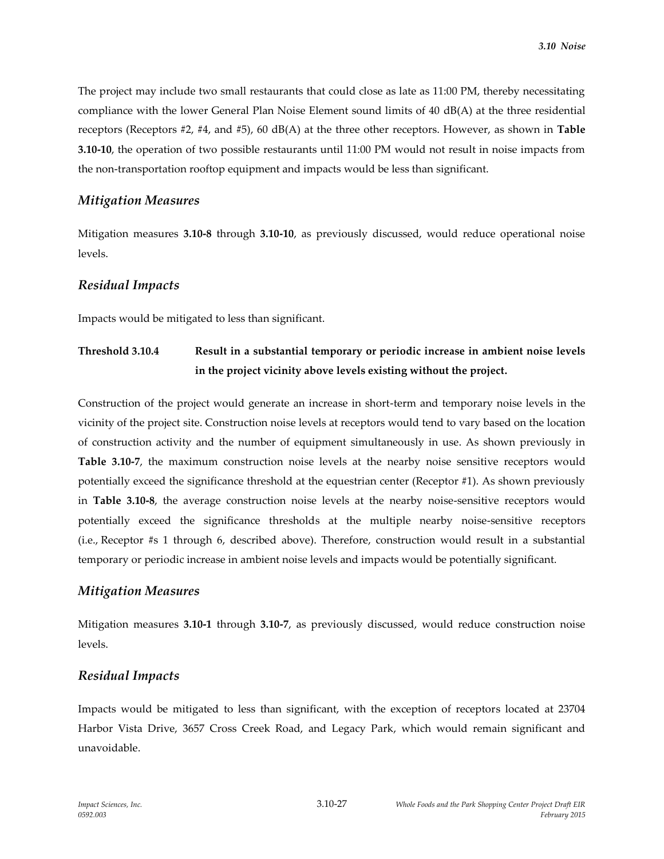The project may include two small restaurants that could close as late as 11:00 PM, thereby necessitating compliance with the lower General Plan Noise Element sound limits of 40 dB(A) at the three residential receptors (Receptors #2, #4, and #5), 60 dB(A) at the three other receptors. However, as shown in **Table 3.10-10**, the operation of two possible restaurants until 11:00 PM would not result in noise impacts from the non-transportation rooftop equipment and impacts would be less than significant.

### *Mitigation Measures*

Mitigation measures **3.10-8** through **3.10-10**, as previously discussed, would reduce operational noise levels.

### *Residual Impacts*

Impacts would be mitigated to less than significant.

# **Threshold 3.10.4 Result in a substantial temporary or periodic increase in ambient noise levels in the project vicinity above levels existing without the project.**

Construction of the project would generate an increase in short-term and temporary noise levels in the vicinity of the project site. Construction noise levels at receptors would tend to vary based on the location of construction activity and the number of equipment simultaneously in use. As shown previously in **Table 3.10-7**, the maximum construction noise levels at the nearby noise sensitive receptors would potentially exceed the significance threshold at the equestrian center (Receptor #1). As shown previously in **Table 3.10-8**, the average construction noise levels at the nearby noise-sensitive receptors would potentially exceed the significance thresholds at the multiple nearby noise-sensitive receptors (i.e., Receptor #s 1 through 6, described above). Therefore, construction would result in a substantial temporary or periodic increase in ambient noise levels and impacts would be potentially significant.

# *Mitigation Measures*

Mitigation measures **3.10-1** through **3.10-7**, as previously discussed, would reduce construction noise levels.

# *Residual Impacts*

Impacts would be mitigated to less than significant, with the exception of receptors located at 23704 Harbor Vista Drive, 3657 Cross Creek Road, and Legacy Park, which would remain significant and unavoidable.